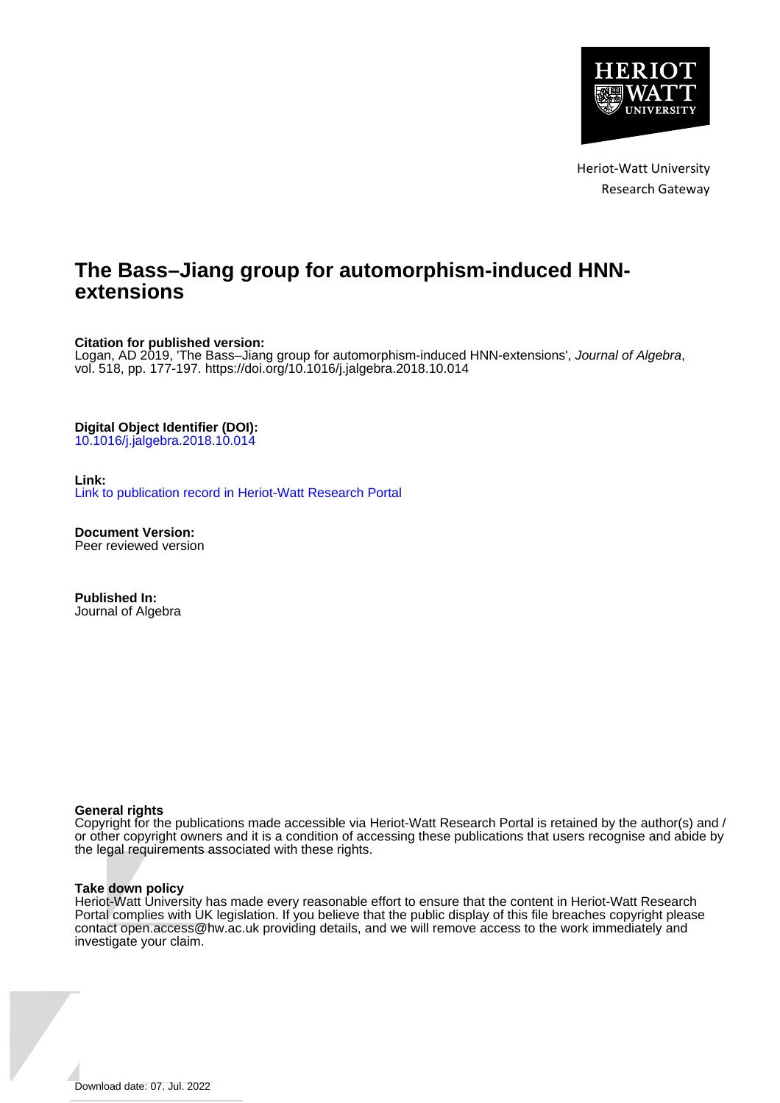

Heriot-Watt University Research Gateway

# **The Bass–Jiang group for automorphism-induced HNNextensions**

## **Citation for published version:**

Logan, AD 2019, 'The Bass-Jiang group for automorphism-induced HNN-extensions', Journal of Algebra, vol. 518, pp. 177-197. <https://doi.org/10.1016/j.jalgebra.2018.10.014>

## **Digital Object Identifier (DOI):**

[10.1016/j.jalgebra.2018.10.014](https://doi.org/10.1016/j.jalgebra.2018.10.014)

## **Link:**

[Link to publication record in Heriot-Watt Research Portal](https://researchportal.hw.ac.uk/en/publications/5e315be3-a03c-4d90-8a82-8efaea82a8f2)

**Document Version:** Peer reviewed version

**Published In:** Journal of Algebra

## **General rights**

Copyright for the publications made accessible via Heriot-Watt Research Portal is retained by the author(s) and / or other copyright owners and it is a condition of accessing these publications that users recognise and abide by the legal requirements associated with these rights.

## **Take down policy**

Heriot-Watt University has made every reasonable effort to ensure that the content in Heriot-Watt Research Portal complies with UK legislation. If you believe that the public display of this file breaches copyright please contact open.access@hw.ac.uk providing details, and we will remove access to the work immediately and investigate your claim.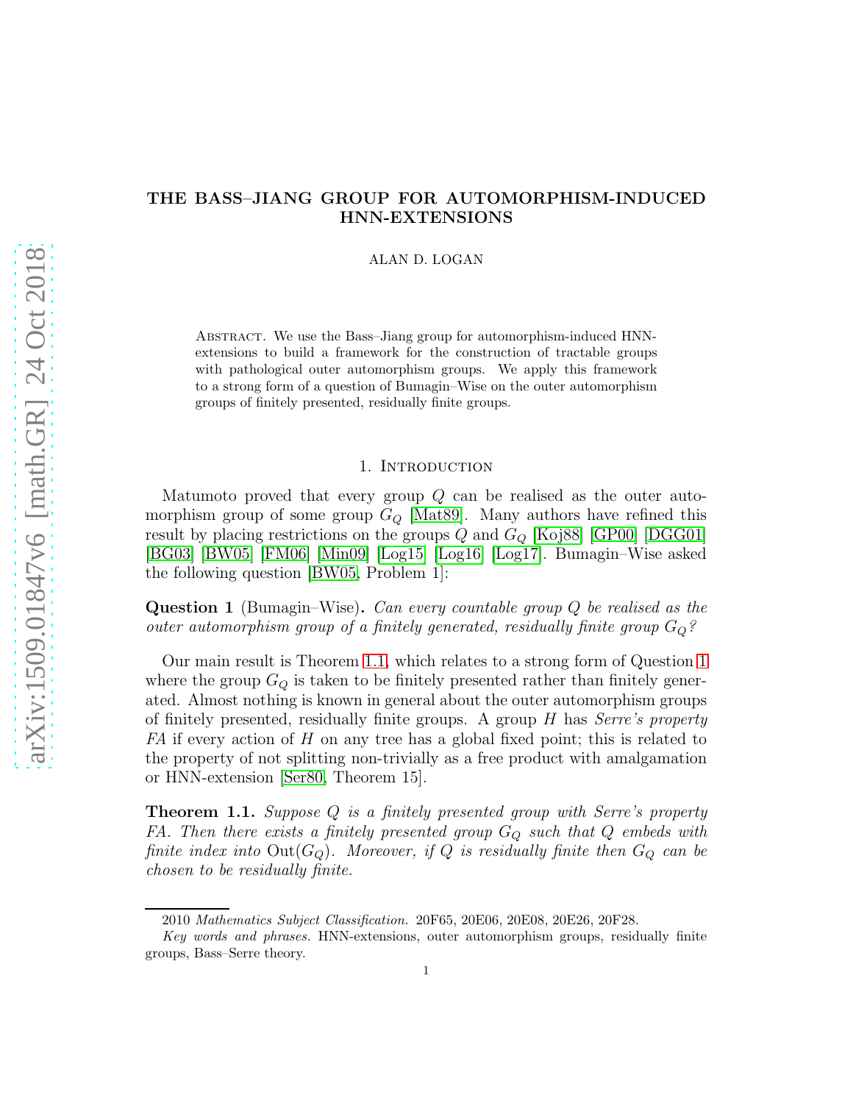# THE BASS–JIANG GROUP FOR AUTOMORPHISM-INDUCED HNN-EXTENSIONS

#### ALAN D. LOGAN

ABSTRACT. We use the Bass–Jiang group for automorphism-induced HNNextensions to build a framework for the construction of tractable groups with pathological outer automorphism groups. We apply this framework to a strong form of a question of Bumagin–Wise on the outer automorphism groups of finitely presented, residually finite groups.

## 1. Introduction

Matumoto proved that every group  $Q$  can be realised as the outer automorphism group of some group  $G_Q$  [\[Mat89\]](#page-21-0). Many authors have refined this result by placing restrictions on the groups  $Q$  and  $G_Q$  [\[Koj88\]](#page-21-1) [\[GP00\]](#page-21-2) [\[DGG01\]](#page-21-3) [\[BG03\]](#page-20-0) [\[BW05\]](#page-21-4) [\[FM06\]](#page-21-5) [\[Min09\]](#page-21-6) [\[Log15\]](#page-21-7) [\[Log16\]](#page-21-8) [\[Log17\]](#page-21-9). Bumagin–Wise asked the following question [\[BW05,](#page-21-4) Problem 1]:

<span id="page-1-1"></span>Question 1 (Bumagin–Wise). *Can every countable group* Q *be realised as the outer automorphism group of a finitely generated, residually finite group*  $G_Q$ ?

Our main result is Theorem [1.1,](#page-1-0) which relates to a strong form of Question [1](#page-1-1) where the group  $G_Q$  is taken to be finitely presented rather than finitely generated. Almost nothing is known in general about the outer automorphism groups of finitely presented, residually finite groups. A group H has *Serre's property FA* if every action of H on any tree has a global fixed point; this is related to the property of not splitting non-trivially as a free product with amalgamation or HNN-extension [\[Ser80,](#page-22-0) Theorem 15].

<span id="page-1-0"></span>Theorem 1.1. *Suppose* Q *is a finitely presented group with Serre's property FA. Then there exists a finitely presented group* G<sup>Q</sup> *such that* Q *embeds with finite index into*  $Out(G_Q)$ *. Moreover, if*  $Q$  *is residually finite then*  $G_Q$  *can be chosen to be residually finite.*

<sup>2010</sup> Mathematics Subject Classification. 20F65, 20E06, 20E08, 20E26, 20F28.

Key words and phrases. HNN-extensions, outer automorphism groups, residually finite groups, Bass–Serre theory.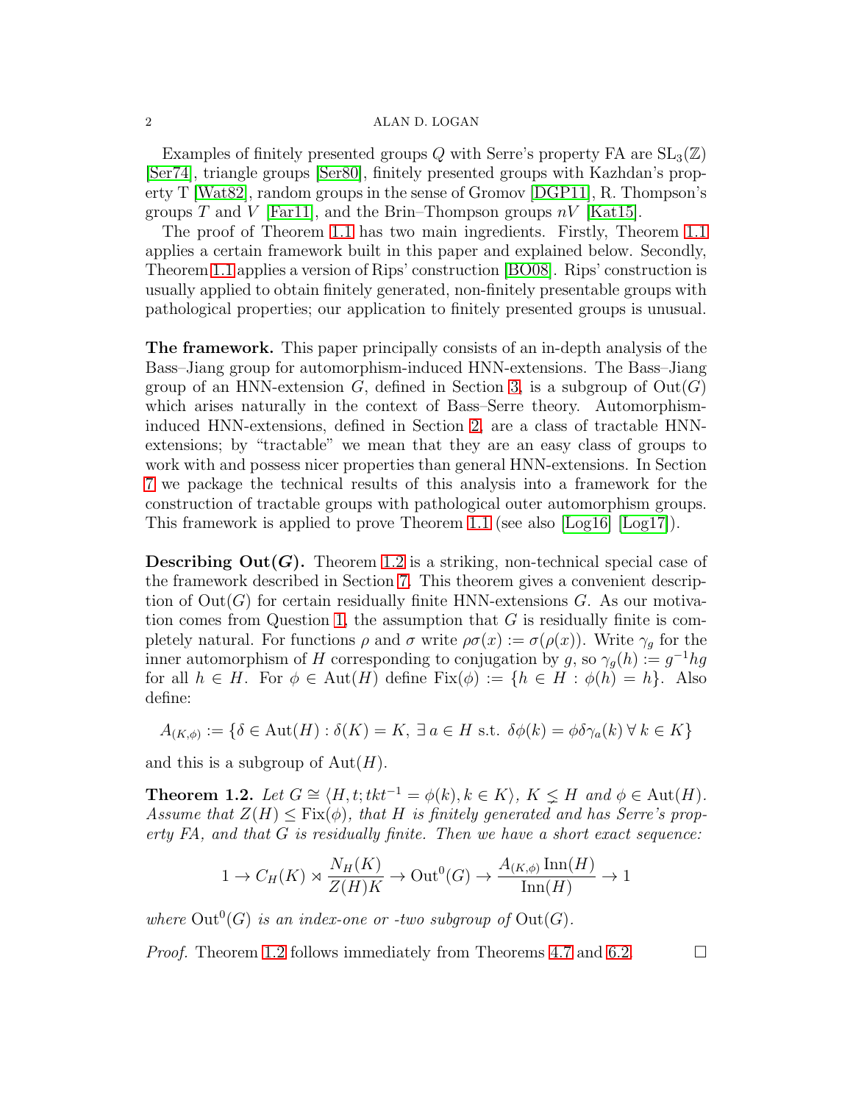Examples of finitely presented groups Q with Serre's property FA are  $SL_3(\mathbb{Z})$ [\[Ser74\]](#page-22-1), triangle groups [\[Ser80\]](#page-22-0), finitely presented groups with Kazhdan's property T [\[Wat82\]](#page-22-2), random groups in the sense of Gromov [\[DGP11\]](#page-21-10), R. Thompson's groups T and V [\[Far11\]](#page-21-11), and the Brin–Thompson groups  $nV$  [\[Kat15\]](#page-21-12).

The proof of Theorem [1.1](#page-1-0) has two main ingredients. Firstly, Theorem [1.1](#page-1-0) applies a certain framework built in this paper and explained below. Secondly, Theorem [1.1](#page-1-0) applies a version of Rips' construction [\[BO08\]](#page-21-13). Rips' construction is usually applied to obtain finitely generated, non-finitely presentable groups with pathological properties; our application to finitely presented groups is unusual.

The framework. This paper principally consists of an in-depth analysis of the Bass–Jiang group for automorphism-induced HNN-extensions. The Bass–Jiang group of an HNN-extension  $G$ , defined in Section [3,](#page-5-0) is a subgroup of  $Out(G)$ which arises naturally in the context of Bass–Serre theory. Automorphisminduced HNN-extensions, defined in Section [2,](#page-3-0) are a class of tractable HNNextensions; by "tractable" we mean that they are an easy class of groups to work with and possess nicer properties than general HNN-extensions. In Section [7](#page-20-1) we package the technical results of this analysis into a framework for the construction of tractable groups with pathological outer automorphism groups. This framework is applied to prove Theorem [1.1](#page-1-0) (see also [\[Log16\]](#page-21-8) [\[Log17\]](#page-21-9)).

**Describing Out(G).** Theorem [1.2](#page-2-0) is a striking, non-technical special case of the framework described in Section [7.](#page-20-1) This theorem gives a convenient description of  $Out(G)$  for certain residually finite HNN-extensions G. As our motiva-tion comes from Question [1,](#page-1-1) the assumption that  $G$  is residually finite is completely natural. For functions  $\rho$  and  $\sigma$  write  $\rho\sigma(x) := \sigma(\rho(x))$ . Write  $\gamma_q$  for the inner automorphism of H corresponding to conjugation by g, so  $\gamma_g(h) := g^{-1} h g$ for all  $h \in H$ . For  $\phi \in \text{Aut}(H)$  define  $\text{Fix}(\phi) := \{h \in H : \phi(h) = h\}$ . Also define:

$$
A_{(K,\phi)} := \{ \delta \in \text{Aut}(H) : \delta(K) = K, \ \exists \ a \in H \text{ s.t. } \delta\phi(k) = \phi\delta\gamma_a(k) \ \forall \ k \in K \}
$$

and this is a subgroup of  $Aut(H)$ .

<span id="page-2-0"></span>**Theorem 1.2.** Let  $G \cong \langle H, t; t k t^{-1} = \phi(k), k \in K \rangle$ ,  $K \leq H$  and  $\phi \in \text{Aut}(H)$ . *Assume that*  $Z(H) \leq Fix(\phi)$ , that H is finitely generated and has Serre's prop*erty FA, and that* G *is residually finite. Then we have a short exact sequence:*

$$
1 \to C_H(K) \rtimes \frac{N_H(K)}{Z(H)K} \to \text{Out}^0(G) \to \frac{A_{(K,\phi)} \text{Inn}(H)}{\text{Inn}(H)} \to 1
$$

where  $Out^0(G)$  *is an index-one or -two subgroup of*  $Out(G)$ *.* 

*Proof.* Theorem [1.2](#page-2-0) follows immediately from Theorems [4.7](#page-12-0) and [6.2.](#page-18-0)  $\Box$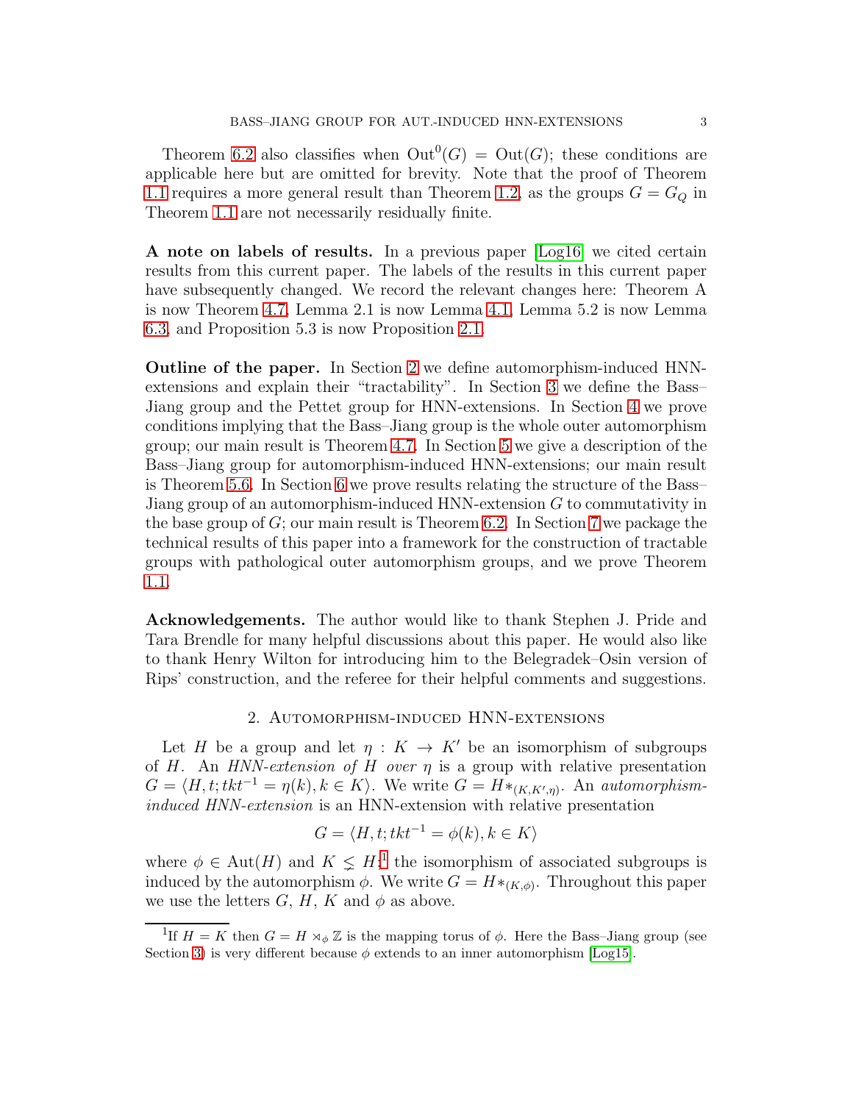Theorem [6.2](#page-18-0) also classifies when  $Out^0(G) = Out(G)$ ; these conditions are applicable here but are omitted for brevity. Note that the proof of Theorem [1.1](#page-1-0) requires a more general result than Theorem [1.2,](#page-2-0) as the groups  $G = G<sub>O</sub>$  in Theorem [1.1](#page-1-0) are not necessarily residually finite.

A note on labels of results. In a previous paper [\[Log16\]](#page-21-8) we cited certain results from this current paper. The labels of the results in this current paper have subsequently changed. We record the relevant changes here: Theorem A is now Theorem [4.7,](#page-12-0) Lemma 2.1 is now Lemma [4.1,](#page-8-0) Lemma 5.2 is now Lemma [6.3,](#page-18-1) and Proposition 5.3 is now Proposition [2.1.](#page-5-1)

Outline of the paper. In Section [2](#page-3-0) we define automorphism-induced HNNextensions and explain their "tractability". In Section [3](#page-5-0) we define the Bass– Jiang group and the Pettet group for HNN-extensions. In Section [4](#page-7-0) we prove conditions implying that the Bass–Jiang group is the whole outer automorphism group; our main result is Theorem [4.7.](#page-12-0) In Section [5](#page-13-0) we give a description of the Bass–Jiang group for automorphism-induced HNN-extensions; our main result is Theorem [5.6.](#page-16-0) In Section [6](#page-17-0) we prove results relating the structure of the Bass– Jiang group of an automorphism-induced HNN-extension G to commutativity in the base group of G; our main result is Theorem [6.2.](#page-18-0) In Section [7](#page-20-1) we package the technical results of this paper into a framework for the construction of tractable groups with pathological outer automorphism groups, and we prove Theorem [1.1.](#page-1-0)

Acknowledgements. The author would like to thank Stephen J. Pride and Tara Brendle for many helpful discussions about this paper. He would also like to thank Henry Wilton for introducing him to the Belegradek–Osin version of Rips' construction, and the referee for their helpful comments and suggestions.

## 2. Automorphism-induced HNN-extensions

<span id="page-3-0"></span>Let H be a group and let  $\eta: K \to K'$  be an isomorphism of subgroups of H. An *HNN-extension of* H *over* η is a group with relative presentation  $G = \langle H, t; tkt^{-1} = \eta(k), k \in K \rangle$ . We write  $G = H_{\mathcal{K}(K,K',\eta)}$ . An *automorphisminduced HNN-extension* is an HNN-extension with relative presentation

$$
G = \langle H, t; tkt^{-1} = \phi(k), k \in K \rangle
$$

where  $\phi \in \text{Aut}(H)$  and  $K \leq H$ <sup>[1](#page-3-1)</sup>; the isomorphism of associated subgroups is induced by the automorphism  $\phi$ . We write  $G = H^*_{(K,\phi)}$ . Throughout this paper we use the letters  $G, H, K$  and  $\phi$  as above.

<span id="page-3-1"></span><sup>&</sup>lt;sup>1</sup>If  $H = K$  then  $G = H \rtimes_{\phi} \mathbb{Z}$  is the mapping torus of  $\phi$ . Here the Bass-Jiang group (see Section [3\)](#page-5-0) is very different because  $\phi$  extends to an inner automorphism [\[Log15\]](#page-21-7).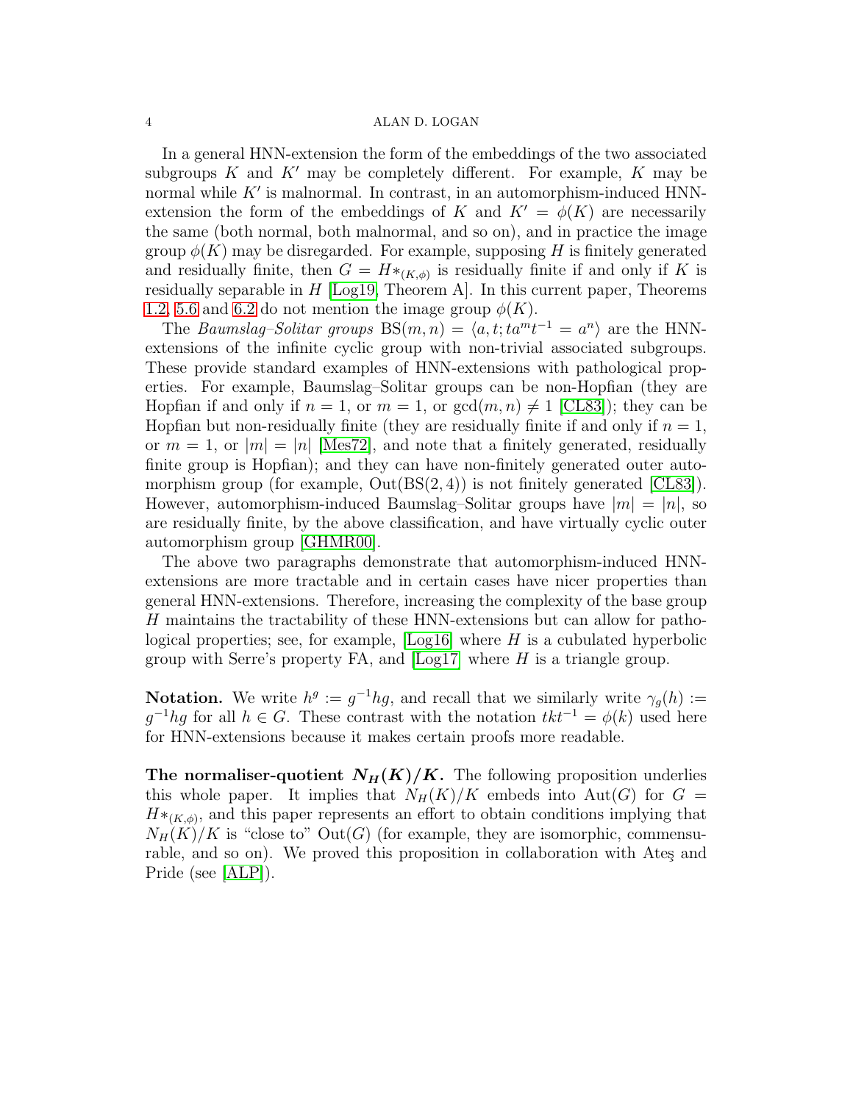In a general HNN-extension the form of the embeddings of the two associated subgroups  $K$  and  $K'$  may be completely different. For example,  $K$  may be normal while  $K'$  is malnormal. In contrast, in an automorphism-induced HNNextension the form of the embeddings of K and  $K' = \phi(K)$  are necessarily the same (both normal, both malnormal, and so on), and in practice the image group  $\phi(K)$  may be disregarded. For example, supposing H is finitely generated and residually finite, then  $G = H *_{(K,\phi)}$  is residually finite if and only if K is residually separable in  $H$  [\[Log19,](#page-21-14) Theorem A]. In this current paper, Theorems [1.2,](#page-2-0) [5.6](#page-16-0) and [6.2](#page-18-0) do not mention the image group  $\phi(K)$ .

The *Baumslag–Solitar groups*  $BS(m, n) = \langle a, t; ta^{m}t^{-1} = a^{n} \rangle$  are the HNNextensions of the infinite cyclic group with non-trivial associated subgroups. These provide standard examples of HNN-extensions with pathological properties. For example, Baumslag–Solitar groups can be non-Hopfian (they are Hopfian if and only if  $n = 1$ , or  $m = 1$ , or  $gcd(m, n) \neq 1$  [\[CL83\]](#page-21-15)); they can be Hopfian but non-residually finite (they are residually finite if and only if  $n = 1$ , or  $m = 1$ , or  $|m| = |n|$  [\[Mes72\]](#page-21-16), and note that a finitely generated, residually finite group is Hopfian); and they can have non-finitely generated outer automorphism group (for example,  $Out(BS(2, 4))$  is not finitely generated [\[CL83\]](#page-21-15)). However, automorphism-induced Baumslag–Solitar groups have  $|m| = |n|$ , so are residually finite, by the above classification, and have virtually cyclic outer automorphism group [\[GHMR00\]](#page-21-17).

The above two paragraphs demonstrate that automorphism-induced HNNextensions are more tractable and in certain cases have nicer properties than general HNN-extensions. Therefore, increasing the complexity of the base group H maintains the tractability of these HNN-extensions but can allow for pathological properties; see, for example,  $\text{Log}16\text{}$  where H is a cubulated hyperbolic group with Serre's property FA, and  $\lfloor \log 17 \rfloor$  where H is a triangle group.

**Notation.** We write  $h^g := g^{-1}hg$ , and recall that we similarly write  $\gamma_g(h) :=$  $g^{-1}hg$  for all  $h \in G$ . These contrast with the notation  $tkt^{-1} = \phi(k)$  used here for HNN-extensions because it makes certain proofs more readable.

The normaliser-quotient  $N_H(K)/K$ . The following proposition underlies this whole paper. It implies that  $N_H(K)/K$  embeds into Aut(G) for  $G =$  $H^*_{(K,\phi)}$ , and this paper represents an effort to obtain conditions implying that  $N_H(K)/K$  is "close to"  $Out(G)$  (for example, they are isomorphic, commensurable, and so on). We proved this proposition in collaboration with Ates and Pride (see [\[ALP\]](#page-20-2)).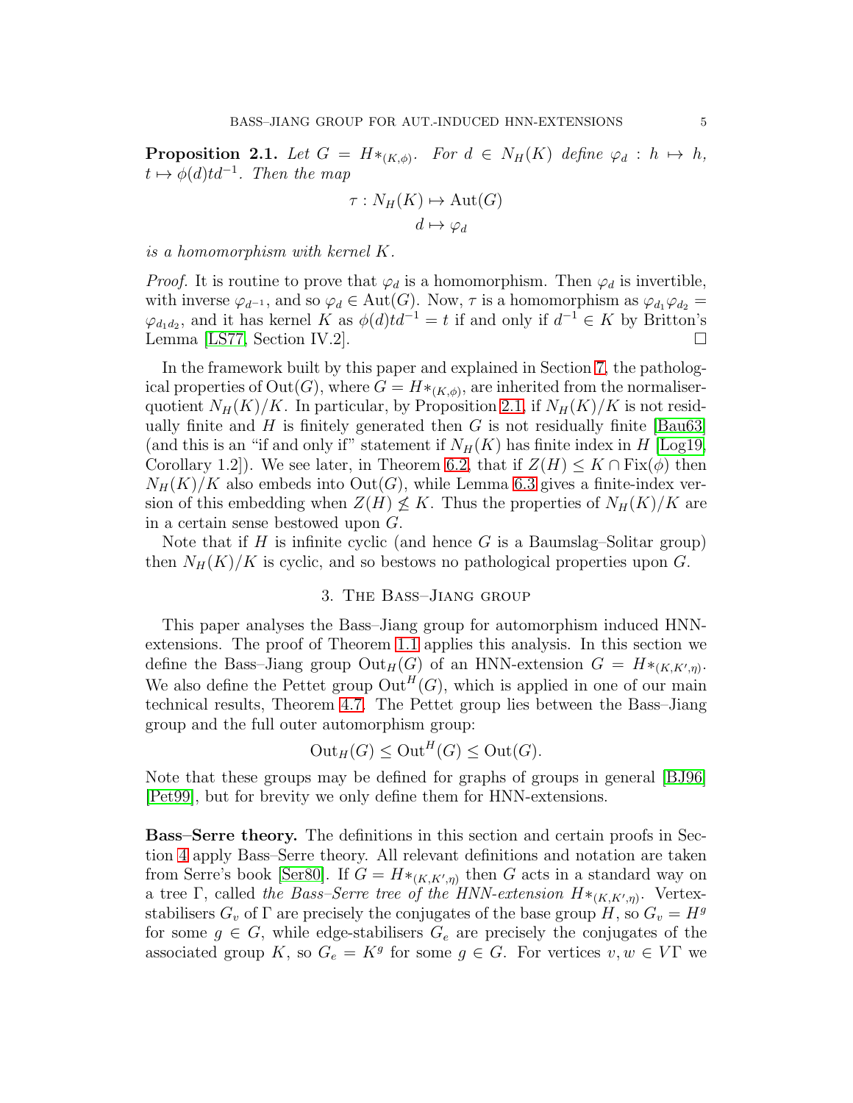<span id="page-5-1"></span>**Proposition 2.1.** Let  $G = H *_{(K,\phi)}$ . For  $d \in N_H(K)$  define  $\varphi_d : h \mapsto h$ ,  $t \mapsto \phi(d) t d^{-1}$ . Then the map

$$
\tau: N_H(K) \mapsto \text{Aut}(G)
$$

$$
d \mapsto \varphi_d
$$

*is a homomorphism with kernel* K*.*

*Proof.* It is routine to prove that  $\varphi_d$  is a homomorphism. Then  $\varphi_d$  is invertible, with inverse  $\varphi_{d^{-1}}$ , and so  $\varphi_d \in \text{Aut}(G)$ . Now,  $\tau$  is a homomorphism as  $\varphi_{d_1}\varphi_{d_2} =$  $\varphi_{d_1d_2}$ , and it has kernel K as  $\phi(d)td^{-1} = t$  if and only if  $d^{-1} \in K$  by Britton's Lemma [\[LS77,](#page-21-18) Section IV.2].

In the framework built by this paper and explained in Section [7,](#page-20-1) the pathological properties of  $\mathrm{Out}(G)$ , where  $G = H *_{(K,\phi)}$ , are inherited from the normaliserquotient  $N_H(K)/K$ . In particular, by Proposition [2.1,](#page-5-1) if  $N_H(K)/K$  is not residually finite and  $H$  is finitely generated then  $G$  is not residually finite [\[Bau63\]](#page-20-3) (and this is an "if and only if" statement if  $N_H(K)$  has finite index in H [\[Log19,](#page-21-14) Corollary 1.2]). We see later, in Theorem [6.2,](#page-18-0) that if  $Z(H) \leq K \cap Fix(\phi)$  then  $N_H(K)/K$  also embeds into  $Out(G)$ , while Lemma [6.3](#page-18-1) gives a finite-index version of this embedding when  $Z(H) \nleq K$ . Thus the properties of  $N_H(K)/K$  are in a certain sense bestowed upon G.

<span id="page-5-0"></span>Note that if  $H$  is infinite cyclic (and hence  $G$  is a Baumslag–Solitar group) then  $N_H(K)/K$  is cyclic, and so bestows no pathological properties upon G.

## 3. The Bass–Jiang group

This paper analyses the Bass–Jiang group for automorphism induced HNNextensions. The proof of Theorem [1.1](#page-1-0) applies this analysis. In this section we define the Bass-Jiang group  $Out_H(G)$  of an HNN-extension  $G = H *_{(K,K',\eta)}$ . We also define the Pettet group  $\mathrm{Out}^H(G)$ , which is applied in one of our main technical results, Theorem [4.7.](#page-12-0) The Pettet group lies between the Bass–Jiang group and the full outer automorphism group:

$$
Out_H(G) \leq Out^H(G) \leq Out(G).
$$

Note that these groups may be defined for graphs of groups in general [\[BJ96\]](#page-21-19) [\[Pet99\]](#page-22-3), but for brevity we only define them for HNN-extensions.

Bass–Serre theory. The definitions in this section and certain proofs in Section [4](#page-7-0) apply Bass–Serre theory. All relevant definitions and notation are taken from Serre's book [\[Ser80\]](#page-22-0). If  $G = H *_{(K,K',\eta)}$  then G acts in a standard way on a tree  $\Gamma$ , called *the Bass–Serre tree of the HNN-extension*  $H^*_{(K,K',\eta)}$ . Vertexstabilisers  $G_v$  of  $\Gamma$  are precisely the conjugates of the base group H, so  $G_v = H<sup>g</sup>$ for some  $g \in G$ , while edge-stabilisers  $G_e$  are precisely the conjugates of the associated group K, so  $G_e = K^g$  for some  $g \in G$ . For vertices  $v, w \in V\Gamma$  we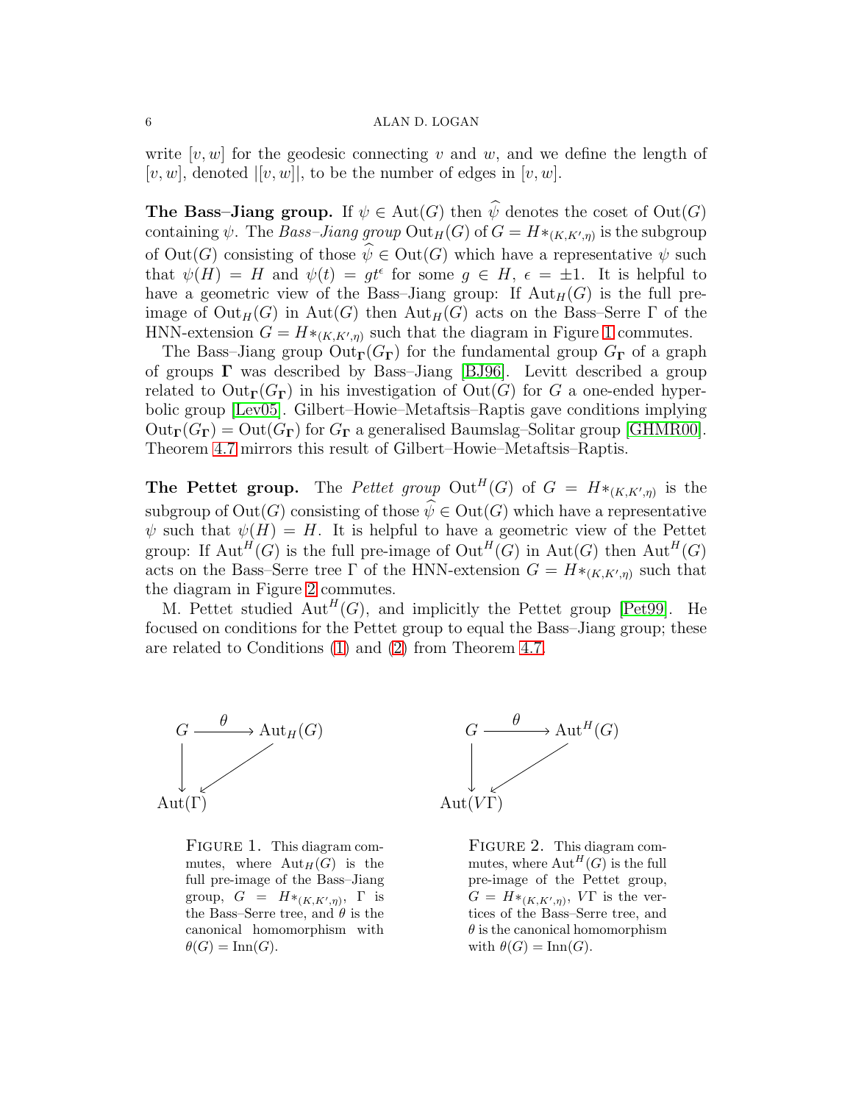write  $[v, w]$  for the geodesic connecting v and w, and we define the length of  $[v, w]$ , denoted  $|[v, w]|$ , to be the number of edges in  $[v, w]$ .

**The Bass–Jiang group.** If  $\psi \in \text{Aut}(G)$  then  $\widehat{\psi}$  denotes the coset of  $\text{Out}(G)$ containing  $\psi$ . The *Bass–Jiang group*  $\mathrm{Out}_H(G)$  of  $G = H *_{(K,K',\eta)}$  is the subgroup of  $Out(G)$  consisting of those  $\widehat{\psi} \in Out(G)$  which have a representative  $\psi$  such that  $\psi(H) = H$  and  $\psi(t) = gt^{\epsilon}$  for some  $g \in H$ ,  $\epsilon = \pm 1$ . It is helpful to have a geometric view of the Bass-Jiang group: If  ${\rm Aut}_H(G)$  is the full preimage of  $Out_H(G)$  in  $Aut(G)$  then  $Aut_H(G)$  acts on the Bass–Serre  $\Gamma$  of the HNN-extension  $G = H *_{(K,K',\eta)}$  such that the diagram in Figure [1](#page-6-0) commutes.

The Bass–Jiang group  $Out_\Gamma(G_\Gamma)$  for the fundamental group  $G_\Gamma$  of a graph of groups  $\Gamma$  was described by Bass–Jiang [\[BJ96\]](#page-21-19). Levitt described a group related to  $Out_\Gamma(G_\Gamma)$  in his investigation of  $Out(G)$  for G a one-ended hyperbolic group [\[Lev05\]](#page-21-20). Gilbert–Howie–Metaftsis–Raptis gave conditions implying  $Out_{\Gamma}(G_{\Gamma}) = Out(G_{\Gamma})$  for  $G_{\Gamma}$  a generalised Baumslag–Solitar group [\[GHMR00\]](#page-21-17). Theorem [4.7](#page-12-0) mirrors this result of Gilbert–Howie–Metaftsis–Raptis.

**The Pettet group.** The *Pettet group*  $\mathrm{Out}^H(G)$  of  $G = H *_{(K,K',\eta)}$  is the subgroup of  $\text{Out}(G)$  consisting of those  $\widehat{\psi} \in \text{Out}(G)$  which have a representative  $\psi$  such that  $\psi(H) = H$ . It is helpful to have a geometric view of the Pettet group: If  ${\rm Aut}^H(G)$  is the full pre-image of  ${\rm Out}^H(G)$  in  ${\rm Aut}(G)$  then  ${\rm Aut}^H(G)$ acts on the Bass–Serre tree  $\Gamma$  of the HNN-extension  $G = H *_{(K,K',\eta)}$  such that the diagram in Figure [2](#page-6-0) commutes.

M. Pettet studied  $\text{Aut}^H(G)$ , and implicitly the Pettet group [\[Pet99\]](#page-22-3). He focused on conditions for the Pettet group to equal the Bass–Jiang group; these are related to Conditions [\(1\)](#page-12-1) and [\(2\)](#page-12-2) from Theorem [4.7.](#page-12-0)

<span id="page-6-0"></span>

FIGURE 1. This diagram commutes, where  ${\rm Aut}_H(G)$  is the full pre-image of the Bass–Jiang group,  $G = H *_{(K,K',\eta)}, \Gamma$  is the Bass–Serre tree, and  $\theta$  is the canonical homomorphism with  $\theta(G) = \text{Inn}(G).$ 

FIGURE 2. This diagram commutes, where  $\mathrm{Aut}^H(G)$  is the full pre-image of the Pettet group,  $G = H *_{(K,K',\eta)}, V\Gamma$  is the vertices of the Bass–Serre tree, and  $\theta$  is the canonical homomorphism with  $\theta(G) = \text{Inn}(G)$ .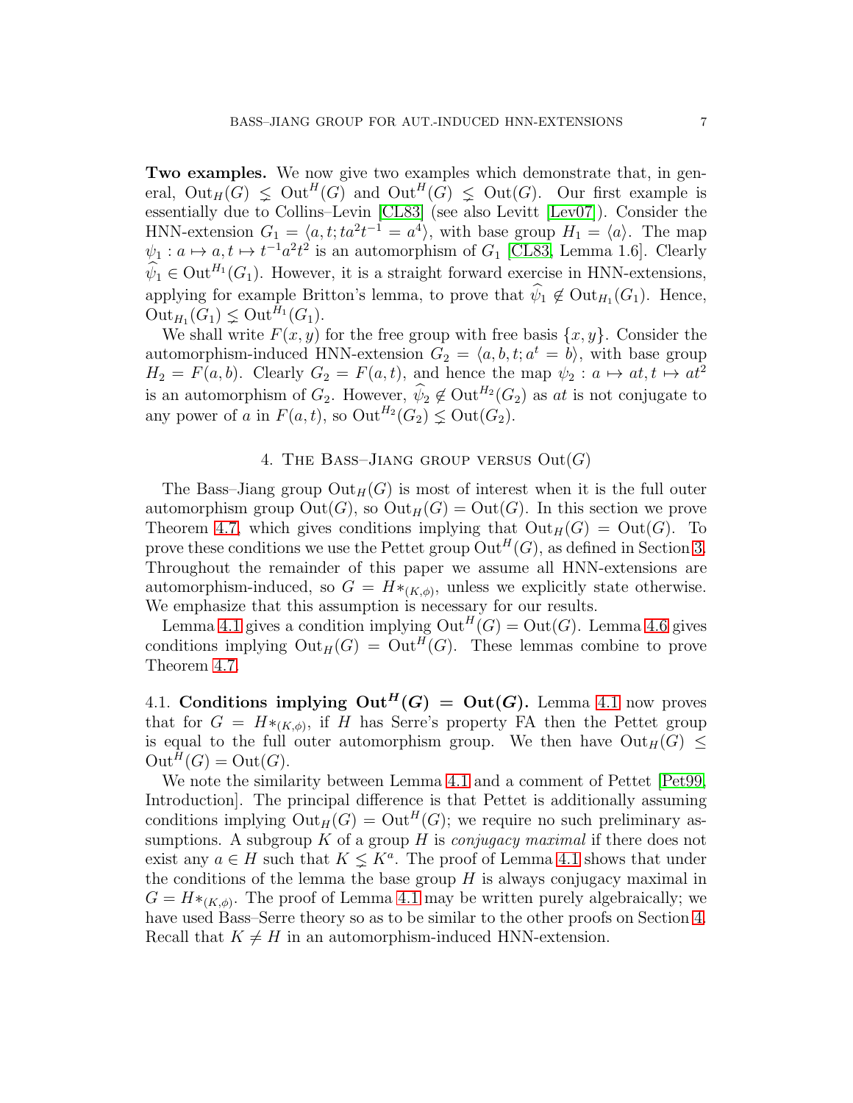Two examples. We now give two examples which demonstrate that, in general,  $Out_H(G) \leq Out^H(G)$  and  $Out^H(G) \leq Out(G)$ . Our first example is essentially due to Collins–Levin [\[CL83\]](#page-21-15) (see also Levitt [\[Lev07\]](#page-21-21)). Consider the HNN-extension  $G_1 = \langle a, t; ta^2t^{-1} = a^4 \rangle$ , with base group  $H_1 = \langle a \rangle$ . The map  $\psi_1: a \mapsto a, t \mapsto t^{-1}a^2t^2$  is an automorphism of  $G_1$  [\[CL83,](#page-21-15) Lemma 1.6]. Clearly  $\widehat{\psi}_1 \in \mathrm{Out}^{H_1}(G_1)$ . However, it is a straight forward exercise in HNN-extensions, applying for example Britton's lemma, to prove that  $\psi_1 \notin Out_{H_1}(G_1)$ . Hence,  $\mathrm{Out}_{H_1}(G_1) \subsetneq \mathrm{Out}^{H_1}(G_1).$ 

We shall write  $F(x, y)$  for the free group with free basis  $\{x, y\}$ . Consider the automorphism-induced HNN-extension  $G_2 = \langle a, b, t; a^t = b \rangle$ , with base group  $H_2 = F(a, b)$ . Clearly  $G_2 = F(a, t)$ , and hence the map  $\psi_2 : a \mapsto at, t \mapsto at^2$ is an automorphism of  $G_2$ . However,  $\widehat{\psi}_2 \notin \mathrm{Out}^{H_2}(G_2)$  as at is not conjugate to any power of a in  $F(a,t)$ , so  $\mathrm{Out}^{H_2}(G_2) \subsetneq \mathrm{Out}(G_2)$ .

## 4. THE BASS-JIANG GROUP VERSUS  $Out(G)$

<span id="page-7-0"></span>The Bass–Jiang group  $Out_H(G)$  is most of interest when it is the full outer automorphism group  $Out(G)$ , so  $Out_H(G) = Out(G)$ . In this section we prove Theorem [4.7,](#page-12-0) which gives conditions implying that  $Out_H(G) = Out(G)$ . To prove these conditions we use the Pettet group  $\mathrm{Out}^H(G)$ , as defined in Section [3.](#page-5-0) Throughout the remainder of this paper we assume all HNN-extensions are automorphism-induced, so  $G = H *_{(K,\phi)}$ , unless we explicitly state otherwise. We emphasize that this assumption is necessary for our results.

Lemma [4.1](#page-8-0) gives a condition implying  $\mathrm{Out}^H(G) = \mathrm{Out}(G)$ . Lemma [4.6](#page-11-0) gives conditions implying  $\mathrm{Out}_H(G) = \mathrm{Out}^H(G)$ . These lemmas combine to prove Theorem [4.7.](#page-12-0)

4.1. Conditions implying  $Out^H(G) = Out(G)$ . Lemma [4.1](#page-8-0) now proves that for  $G = H^*_{(K,\phi)}$ , if H has Serre's property FA then the Pettet group is equal to the full outer automorphism group. We then have  $Out_H(G) \leq$  $Out^H(G) = Out(G).$ 

We note the similarity between Lemma [4.1](#page-8-0) and a comment of Pettet [\[Pet99,](#page-22-3) Introduction]. The principal difference is that Pettet is additionally assuming conditions implying  $Out_H(G) = Out^H(G)$ ; we require no such preliminary assumptions. A subgroup K of a group H is *conjugacy maximal* if there does not exist any  $a \in H$  such that  $K \leq K^a$ . The proof of Lemma [4.1](#page-8-0) shows that under the conditions of the lemma the base group  $H$  is always conjugacy maximal in  $G = H *_{(K,\phi)}$ . The proof of Lemma [4.1](#page-8-0) may be written purely algebraically; we have used Bass–Serre theory so as to be similar to the other proofs on Section [4.](#page-7-0) Recall that  $K \neq H$  in an automorphism-induced HNN-extension.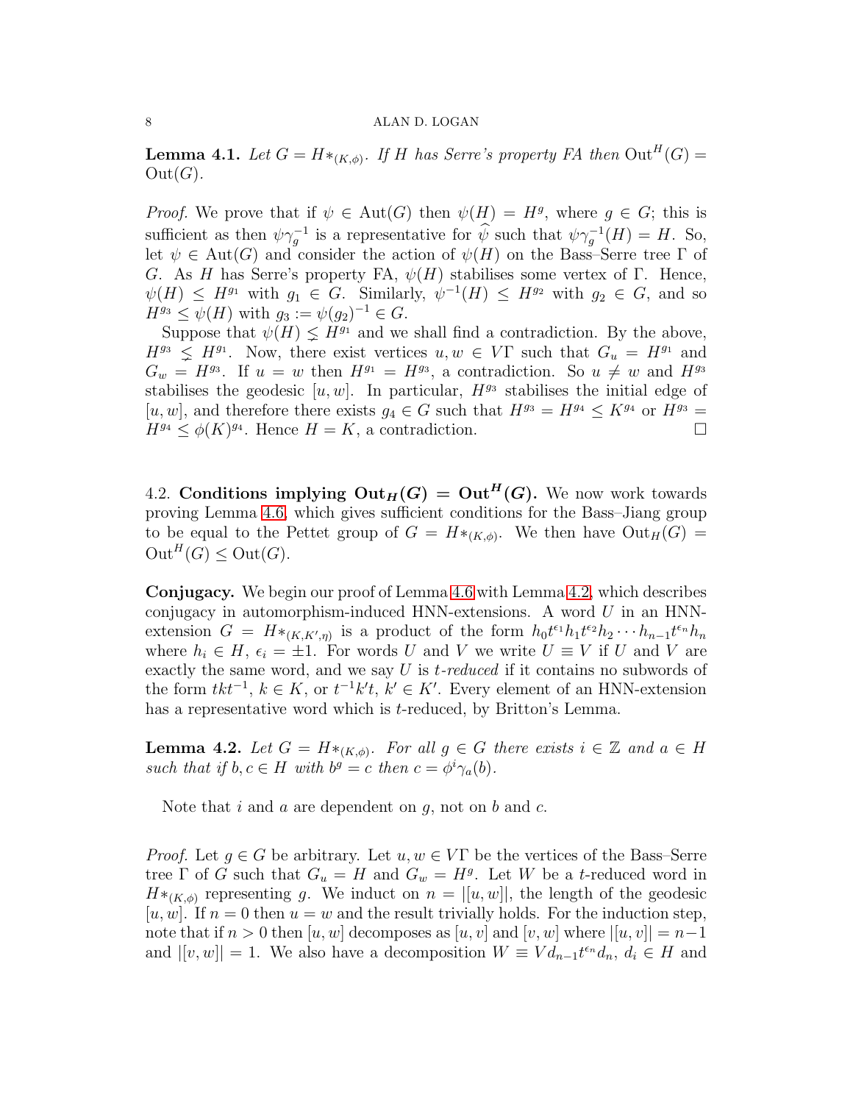<span id="page-8-0"></span>**Lemma 4.1.** *Let*  $G = H *_{(K,\phi)}$ . If H has Serre's property FA then  $Out^H(G) =$  $Out(G)$ .

*Proof.* We prove that if  $\psi \in Aut(G)$  then  $\psi(H) = H^g$ , where  $g \in G$ ; this is sufficient as then  $\psi \gamma_g^{-1}$  is a representative for  $\widehat{\psi}$  such that  $\psi \gamma_g^{-1}(H) = H$ . So, let  $\psi \in \text{Aut}(G)$  and consider the action of  $\psi(H)$  on the Bass–Serre tree  $\Gamma$  of G. As H has Serre's property FA,  $\psi(H)$  stabilises some vertex of Γ. Hence,  $\psi(H) \leq H^{g_1}$  with  $g_1 \in G$ . Similarly,  $\psi^{-1}(H) \leq H^{g_2}$  with  $g_2 \in G$ , and so  $H^{g_3} \leq \psi(H)$  with  $g_3 := \psi(g_2)^{-1} \in G$ .

Suppose that  $\psi(H) \leq H^{g_1}$  and we shall find a contradiction. By the above,  $H^{g_3} \nleq H^{g_1}$ . Now, there exist vertices  $u, w \in V\Gamma$  such that  $G_u = H^{g_1}$  and  $G_w = H^{g_3}$ . If  $u = w$  then  $H^{g_1} = H^{g_3}$ , a contradiction. So  $u \neq w$  and  $H^{g_3}$ stabilises the geodesic [u, w]. In particular,  $H^{g_3}$  stabilises the initial edge of [u, w], and therefore there exists  $g_4 \in G$  such that  $H^{g_3} = H^{g_4} \leq K^{g_4}$  or  $H^{g_3} =$  $H^{g_4} \le \phi(K)^{g_4}$ . Hence  $H = K$ , a contradiction.

4.2. Conditions implying  $Out_H(G) = Out^H(G)$ . We now work towards proving Lemma [4.6,](#page-11-0) which gives sufficient conditions for the Bass–Jiang group to be equal to the Pettet group of  $G = H^*_{(K,\phi)}$ . We then have  $Out_H(G) =$  $Out^H(G) \le Out(G).$ 

Conjugacy. We begin our proof of Lemma [4.6](#page-11-0) with Lemma [4.2,](#page-8-1) which describes conjugacy in automorphism-induced HNN-extensions. A word  $U$  in an HNNextension  $G = H *_{(K,K',\eta)}$  is a product of the form  $h_0 t^{\epsilon_1} h_1 t^{\epsilon_2} h_2 \cdots h_{n-1} t^{\epsilon_n} h_n$ where  $h_i \in H$ ,  $\epsilon_i = \pm 1$ . For words U and V we write  $U \equiv V$  if U and V are exactly the same word, and we say U is t*-reduced* if it contains no subwords of the form  $tkt^{-1}, k \in K$ , or  $t^{-1}k't, k' \in K'$ . Every element of an HNN-extension has a representative word which is *t*-reduced, by Britton's Lemma.

<span id="page-8-1"></span>**Lemma 4.2.** Let  $G = H *_{(K,\phi)}$ . For all  $g \in G$  there exists  $i \in \mathbb{Z}$  and  $a \in H$ *such that if*  $b, c \in H$  *with*  $b^g = c$  *then*  $c = \phi^i \gamma_a(b)$ *.* 

Note that i and a are dependent on  $q$ , not on  $b$  and  $c$ .

*Proof.* Let  $g \in G$  be arbitrary. Let  $u, w \in V\Gamma$  be the vertices of the Bass–Serre tree  $\Gamma$  of G such that  $G_u = H$  and  $G_w = H<sup>g</sup>$ . Let W be a t-reduced word in  $H^*_{(K,\phi)}$  representing g. We induct on  $n = |[u,w]|$ , the length of the geodesic [u, w]. If  $n = 0$  then  $u = w$  and the result trivially holds. For the induction step, note that if  $n > 0$  then  $[u, w]$  decomposes as  $[u, v]$  and  $[v, w]$  where  $|[u, v]| = n-1$ and  $|[v, w]| = 1$ . We also have a decomposition  $W \equiv V d_{n-1} t^{\epsilon_n} d_n, d_i \in H$  and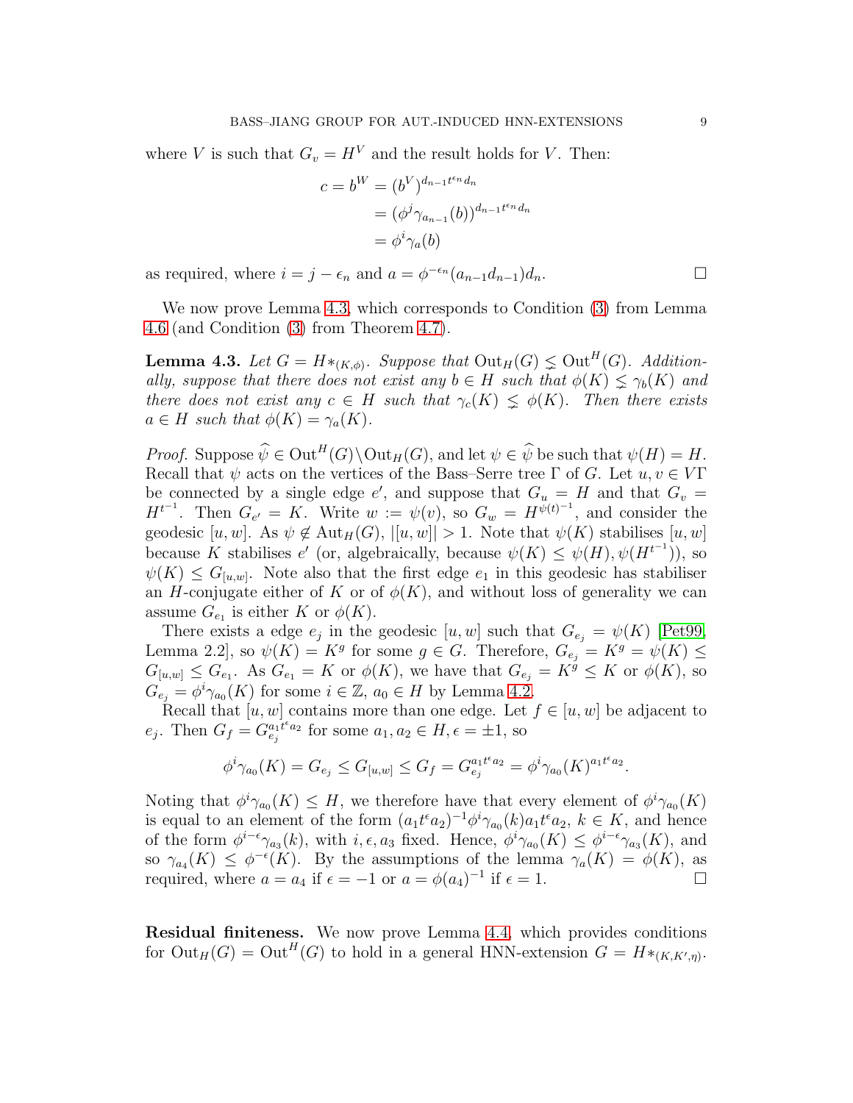where V is such that  $G_v = H^V$  and the result holds for V. Then:

$$
c = b^W = (b^V)^{d_{n-1}t^{\epsilon_n}d_n}
$$
  
=  $(\phi^j \gamma_{a_{n-1}}(b))^{d_{n-1}t^{\epsilon_n}d_n}$   
=  $\phi^i \gamma_a(b)$ 

as required, where  $i = j - \epsilon_n$  and  $a = \phi^{-\epsilon_n}(a_{n-1}d_{n-1})d_n$ .

We now prove Lemma [4.3,](#page-9-0) which corresponds to Condition [\(3\)](#page-12-3) from Lemma [4.6](#page-11-0) (and Condition [\(3\)](#page-12-3) from Theorem [4.7\)](#page-12-0).

<span id="page-9-0"></span>**Lemma 4.3.** Let  $G = H *_{(K,\phi)}$ . Suppose that  $\text{Out}_H(G) \leq \text{Out}^H(G)$ . Addition*ally, suppose that there does not exist any*  $b \in H$  *such that*  $\phi(K) \leq \gamma_b(K)$  *and there does not exist any*  $c \in H$  *such that*  $\gamma_c(K) \leq \phi(K)$ *. Then there exists*  $a \in H$  *such that*  $\phi(K) = \gamma_a(K)$ .

*Proof.* Suppose  $\hat{\psi} \in \mathrm{Out}^H(G) \backslash \mathrm{Out}_H(G)$ , and let  $\psi \in \hat{\psi}$  be such that  $\psi(H) = H$ . Recall that  $\psi$  acts on the vertices of the Bass–Serre tree Γ of G. Let  $u, v \in V\Gamma$ be connected by a single edge e', and suppose that  $G_u = H$  and that  $G_v =$  $H^{t-1}$ . Then  $G_{e'} = K$ . Write  $w := \psi(v)$ , so  $G_w = H^{\tilde{\psi}(t)-1}$ , and consider the geodesic [u, w]. As  $\psi \notin \text{Aut}_H(G)$ ,  $|[u, w]| > 1$ . Note that  $\psi(K)$  stabilises [u, w] because K stabilises e' (or, algebraically, because  $\psi(K) \leq \psi(H), \psi(H^{t-1}),$  so  $\psi(K) \leq G_{[u,w]}$ . Note also that the first edge  $e_1$  in this geodesic has stabiliser an H-conjugate either of K or of  $\phi(K)$ , and without loss of generality we can assume  $G_{e_1}$  is either K or  $\phi(K)$ .

There exists a edge  $e_j$  in the geodesic  $[u, w]$  such that  $G_{e_j} = \psi(K)$  [\[Pet99,](#page-22-3) Lemma 2.2, so  $\psi(K) = K^g$  for some  $g \in G$ . Therefore,  $G_{e_j} = K^g = \psi(K) \le$  $G_{[u,w]} \leq G_{e_1}$ . As  $G_{e_1} = K$  or  $\phi(K)$ , we have that  $G_{e_j} = K^g \leq K$  or  $\phi(K)$ , so  $G_{e_j} = \phi^i \gamma_{a_0}(K)$  for some  $i \in \mathbb{Z}$ ,  $a_0 \in H$  by Lemma [4.2.](#page-8-1)

Recall that  $[u, w]$  contains more than one edge. Let  $f \in [u, w]$  be adjacent to  $e_j$ . Then  $G_f = G_{e_j}^{a_1 t^{\epsilon} a_2}$  for some  $a_1, a_2 \in H, \epsilon = \pm 1$ , so

$$
\phi^i \gamma_{a_0}(K) = G_{e_j} \le G_{[u,w]} \le G_f = G_{e_j}^{a_1 t^{e} a_2} = \phi^i \gamma_{a_0}(K)^{a_1 t^{e} a_2}.
$$

Noting that  $\phi^i \gamma_{a_0}(K) \leq H$ , we therefore have that every element of  $\phi^i \gamma_{a_0}(K)$ is equal to an element of the form  $(a_1t^{\epsilon}a_2)^{-1}\phi^i\gamma_{a_0}(k)a_1t^{\epsilon}a_2, k \in K$ , and hence of the form  $\phi^{i-\epsilon}\gamma_{a_3}(k)$ , with  $i, \epsilon, a_3$  fixed. Hence,  $\phi^i\gamma_{a_0}(K) \leq \phi^{i-\epsilon}\gamma_{a_3}(K)$ , and so  $\gamma_{a_4}(K) \leq \phi^{-\epsilon}(K)$ . By the assumptions of the lemma  $\gamma_a(K) = \phi(K)$ , as required, where  $a = a_4$  if  $\epsilon = -1$  or  $a = \phi(a_4)^{-1}$  if  $\epsilon = 1$ .

Residual finiteness. We now prove Lemma [4.4,](#page-10-0) which provides conditions for  $\mathrm{Out}_H(G) = \mathrm{Out}^H(G)$  to hold in a general HNN-extension  $G = H *_{(K,K',\eta)}$ .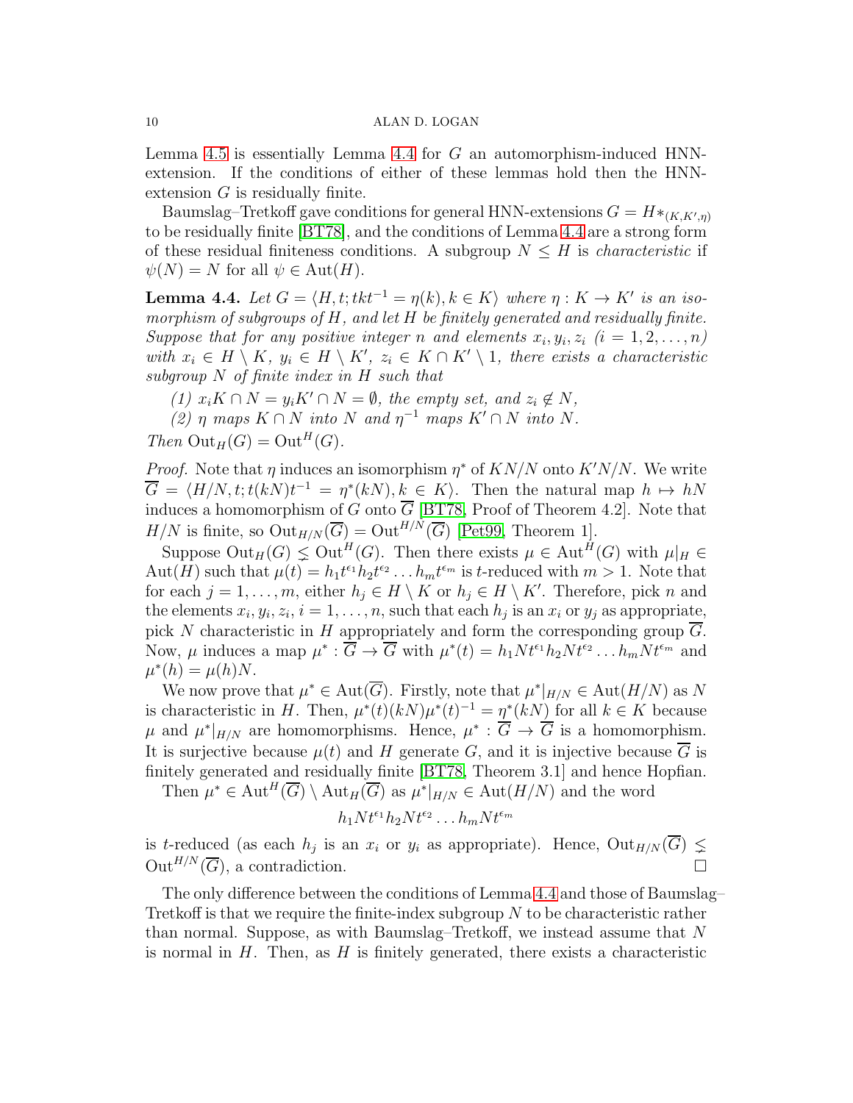Lemma [4.5](#page-11-1) is essentially Lemma [4.4](#page-10-0) for  $G$  an automorphism-induced HNNextension. If the conditions of either of these lemmas hold then the HNNextension G is residually finite.

Baumslag–Tretkoff gave conditions for general HNN-extensions  $G = H *_{(K,K',\eta)}$ to be residually finite [\[BT78\]](#page-21-22), and the conditions of Lemma [4.4](#page-10-0) are a strong form of these residual finiteness conditions. A subgroup  $N \leq H$  is *characteristic* if  $\psi(N) = N$  for all  $\psi \in \text{Aut}(H)$ .

<span id="page-10-0"></span>**Lemma 4.4.** Let  $G = \langle H, t; t k t^{-1} = \eta(k), k \in K \rangle$  where  $\eta: K \to K'$  is an iso*morphism of subgroups of* H*, and let* H *be finitely generated and residually finite.* Suppose that for any positive integer n and elements  $x_i, y_i, z_i$   $(i = 1, 2, \ldots, n)$ with  $x_i \in H \setminus K$ ,  $y_i \in H \setminus K'$ ,  $z_i \in K \cap K' \setminus 1$ , there exists a characteristic *subgroup* N *of finite index in* H *such that*

*(1)*  $x_i K \cap N = y_i K' \cap N = ∅$ *, the empty set, and*  $z_i \notin N$ *,* 

 $(2)$   $\eta$  *maps*  $K \cap N$  *into*  $N$  *and*  $\eta^{-1}$  *maps*  $K' \cap N$  *into*  $N$ *.* 

*Then*  $Out_H(G) = Out^H(G)$ *.* 

*Proof.* Note that  $\eta$  induces an isomorphism  $\eta^*$  of  $KN/N$  onto  $K'N/N$ . We write  $\overline{G} = \langle H/N, t; t(kN)t^{-1} = \eta^*(kN), k \in K \rangle$ . Then the natural map  $h \mapsto hN$ induces a homomorphism of G onto  $\overline{G}$  [\[BT78,](#page-21-22) Proof of Theorem 4.2]. Note that  $H/N$  is finite, so  $\mathrm{Out}_{H/N}(\overline{G}) = \mathrm{Out}^{H/N}(\overline{G})$  [\[Pet99,](#page-22-3) Theorem 1].

Suppose  $\mathrm{Out}_H(G) \leq \mathrm{Out}^H(G)$ . Then there exists  $\mu \in \mathrm{Aut}^H(G)$  with  $\mu|_H \in$ Aut(H) such that  $\mu(t) = h_1 t^{\epsilon_1} h_2 t^{\epsilon_2} \dots h_m t^{\epsilon_m}$  is t-reduced with  $m > 1$ . Note that for each  $j = 1, \ldots, m$ , either  $h_j \in H \setminus K$  or  $h_j \in H \setminus K'$ . Therefore, pick n and the elements  $x_i, y_i, z_i, i = 1, \ldots, n$ , such that each  $h_j$  is an  $x_i$  or  $y_j$  as appropriate, pick N characteristic in H appropriately and form the corresponding group  $\overline{G}$ . Now,  $\mu$  induces a map  $\mu^* : \overline{G} \to \overline{G}$  with  $\mu^*(t) = h_1 N t^{\epsilon_1} h_2 N t^{\epsilon_2} \dots h_m N t^{\epsilon_m}$  and  $\mu^*(h) = \mu(h)N.$ 

We now prove that  $\mu^* \in \text{Aut}(\overline{G})$ . Firstly, note that  $\mu^*|_{H/N} \in \text{Aut}(H/N)$  as N is characteristic in H. Then,  $\mu^*(t)(kN)\mu^*(t)^{-1} = \eta^*(kN)$  for all  $k \in K$  because  $\mu$  and  $\mu^*|_{H/N}$  are homomorphisms. Hence,  $\mu^* : \overline{G} \to \overline{G}$  is a homomorphism. It is surjective because  $\mu(t)$  and H generate G, and it is injective because  $\overline{G}$  is finitely generated and residually finite [\[BT78,](#page-21-22) Theorem 3.1] and hence Hopfian.

Then  $\mu^* \in \text{Aut}^H(\overline{G}) \setminus \text{Aut}_H(\overline{G})$  as  $\mu^*|_{H/N} \in \text{Aut}(H/N)$  and the word

$$
h_1Nt^{\epsilon_1}h_2Nt^{\epsilon_2}\dots h_mNt^{\epsilon_m}
$$

is t-reduced (as each  $h_j$  is an  $x_i$  or  $y_i$  as appropriate). Hence,  $Out_{H/N}(G) \nleq$  $Out^{H/N}(\overline{G})$ , a contradiction.

The only difference between the conditions of Lemma [4.4](#page-10-0) and those of Baumslag– Tretkoff is that we require the finite-index subgroup  $N$  to be characteristic rather than normal. Suppose, as with Baumslag–Tretkoff, we instead assume that N is normal in  $H$ . Then, as  $H$  is finitely generated, there exists a characteristic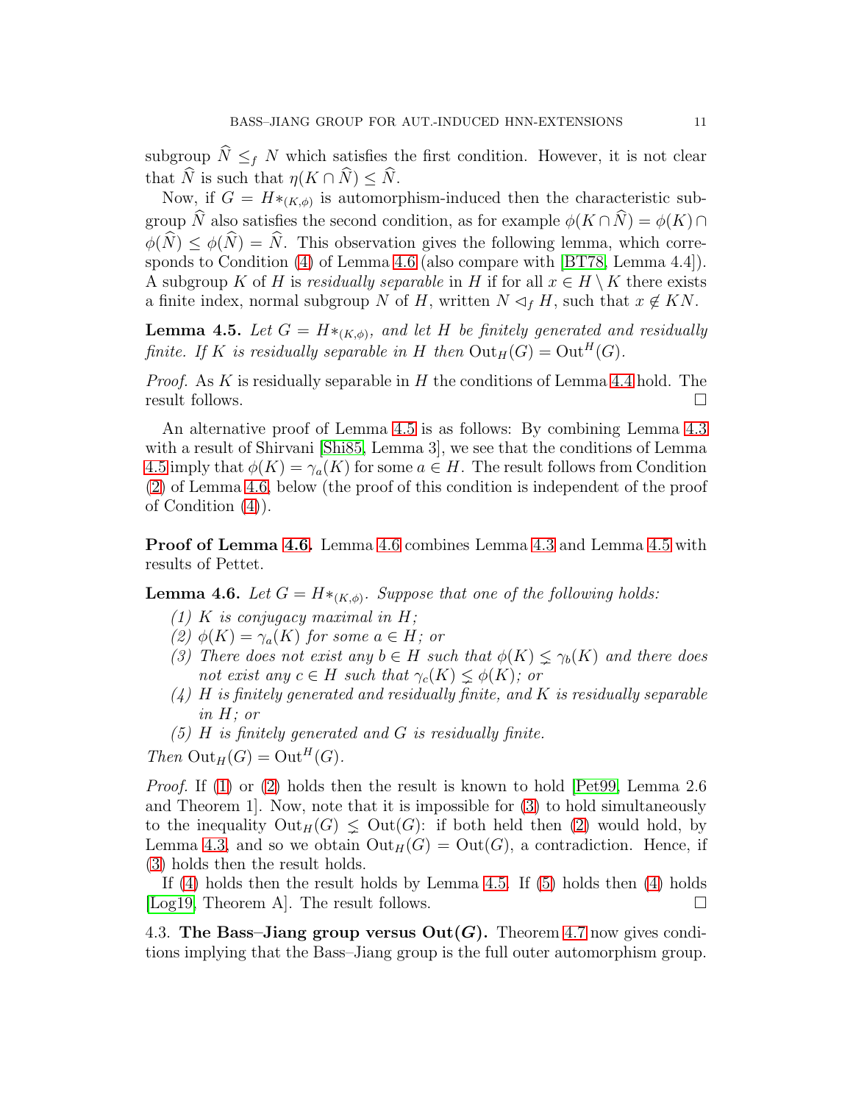subgroup  $\widehat{N} \leq_f N$  which satisfies the first condition. However, it is not clear that  $\widehat{N}$  is such that  $\eta(K \cap \widehat{N}) \leq \widehat{N}$ .

Now, if  $G = H *_{(K,\phi)}$  is automorphism-induced then the characteristic subgroup  $\widehat{N}$  also satisfies the second condition, as for example  $\phi(K \cap \widehat{N}) = \phi(K) \cap$  $\phi(\widehat{N}) \leq \phi(\widehat{N}) = \widehat{N}$ . This observation gives the following lemma, which corresponds to Condition [\(4\)](#page-12-4) of Lemma [4.6](#page-11-0) (also compare with [\[BT78,](#page-21-22) Lemma 4.4]). A subgroup K of H is *residually separable* in H if for all  $x \in H \setminus K$  there exists a finite index, normal subgroup N of H, written  $N \lhd_f H$ , such that  $x \notin KN$ .

<span id="page-11-1"></span>**Lemma 4.5.** Let  $G = H *_{(K,\phi)}$ , and let H be finitely generated and residually *finite. If* K *is residually separable in* H *then*  $Out_H(G) = Out^H(G)$ *.* 

*Proof.* As K is residually separable in H the conditions of Lemma [4.4](#page-10-0) hold. The result follows.

An alternative proof of Lemma [4.5](#page-11-1) is as follows: By combining Lemma [4.3](#page-9-0) with a result of Shirvani [\[Shi85,](#page-22-4) Lemma 3], we see that the conditions of Lemma [4.5](#page-11-1) imply that  $\phi(K) = \gamma_a(K)$  for some  $a \in H$ . The result follows from Condition [\(2\)](#page-12-2) of Lemma [4.6,](#page-11-0) below (the proof of this condition is independent of the proof of Condition [\(4\)](#page-12-4)).

Proof of Lemma [4.6.](#page-11-0) Lemma [4.6](#page-11-0) combines Lemma [4.3](#page-9-0) and Lemma [4.5](#page-11-1) with results of Pettet.

<span id="page-11-0"></span>**Lemma 4.6.** Let  $G = H *_{(K,\phi)}$ . Suppose that one of the following holds:

- *(1)* K *is conjugacy maximal in* H*;*
- *(2)*  $φ(K) = γ<sub>a</sub>(K)$  *for some*  $a ∈ H$ *; or*
- *(3) There does not exist any*  $b \in H$  *such that*  $\phi(K) \leq \gamma_b(K)$  *and there does not exist any*  $c \in H$  *such that*  $\gamma_c(K) \leq \phi(K)$ *; or*
- *(4)* H *is finitely generated and residually finite, and* K *is residually separable in* H*; or*
- *(5)* H *is finitely generated and* G *is residually finite.*

*Then*  $Out_H(G) = Out^H(G)$ *.* 

*Proof.* If [\(1\)](#page-12-1) or [\(2\)](#page-12-2) holds then the result is known to hold [\[Pet99,](#page-22-3) Lemma 2.6 and Theorem 1]. Now, note that it is impossible for [\(3\)](#page-12-3) to hold simultaneously to the inequality  $Out_H(G) \leq Out(G)$ : if both held then [\(2\)](#page-12-2) would hold, by Lemma [4.3,](#page-9-0) and so we obtain  $Out_H(G) = Out(G)$ , a contradiction. Hence, if [\(3\)](#page-12-3) holds then the result holds.

If [\(4\)](#page-12-4) holds then the result holds by Lemma [4.5.](#page-11-1) If [\(5\)](#page-12-5) holds then [\(4\)](#page-12-4) holds [\[Log19,](#page-21-14) Theorem A]. The result follows.

4.3. The Bass–Jiang group versus  $Out(G)$ . Theorem [4.7](#page-12-0) now gives conditions implying that the Bass–Jiang group is the full outer automorphism group.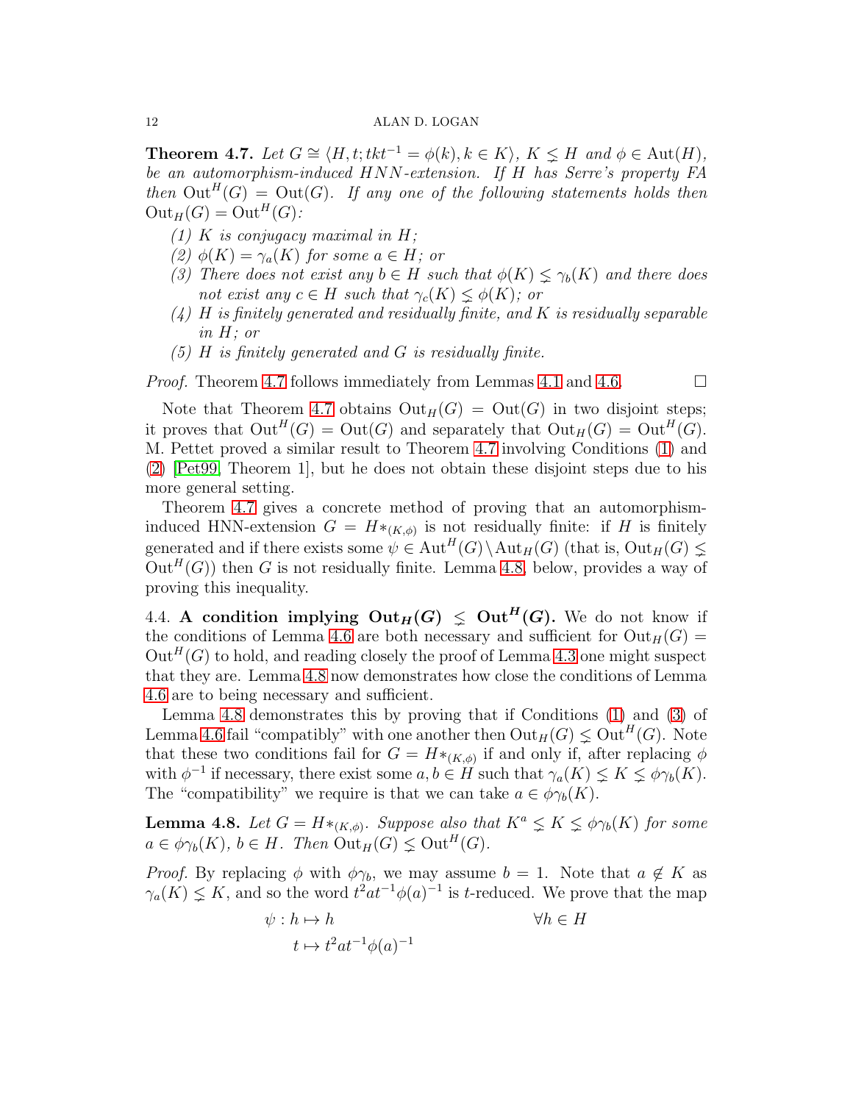<span id="page-12-0"></span>**Theorem 4.7.** *Let*  $G \cong \langle H, t; t k t^{-1} = \phi(k), k \in K \rangle$ ,  $K \leq H$  *and*  $\phi \in \text{Aut}(H)$ *, be an automorphism-induced* HNN*-extension. If* H *has Serre's property FA then*  $Out^H(G) = Out(G)$ *. If any one of the following statements holds then*  $Out_H(G) = Out^H(G)$ :

- <span id="page-12-2"></span><span id="page-12-1"></span>*(1)* K *is conjugacy maximal in H;*
- <span id="page-12-3"></span>*(2)*  $φ(K) = γ<sub>a</sub>(K)$  *for some*  $a ∈ H$ *; or*
- <span id="page-12-4"></span>*(3) There does not exist any*  $b \in H$  *such that*  $\phi(K) \leq \gamma_b(K)$  *and there does not exist any*  $c \in H$  *such that*  $\gamma_c(K) \leq \phi(K)$ *; or*
- <span id="page-12-5"></span>*(4)* H *is finitely generated and residually finite, and* K *is residually separable in* H*; or*
- *(5)* H *is finitely generated and* G *is residually finite.*

*Proof.* Theorem [4.7](#page-12-0) follows immediately from Lemmas [4.1](#page-8-0) and [4.6.](#page-11-0) □

Note that Theorem [4.7](#page-12-0) obtains  $Out_H(G) = Out(G)$  in two disjoint steps; it proves that  $Out^H(G) = Out(G)$  and separately that  $Out_H(G) = Out^H(G)$ . M. Pettet proved a similar result to Theorem [4.7](#page-12-0) involving Conditions [\(1\)](#page-12-1) and [\(2\)](#page-12-2) [\[Pet99,](#page-22-3) Theorem 1], but he does not obtain these disjoint steps due to his more general setting.

Theorem [4.7](#page-12-0) gives a concrete method of proving that an automorphisminduced HNN-extension  $G = H *_{(K,\phi)}$  is not residually finite: if H is finitely generated and if there exists some  $\psi \in \text{Aut}^H(G) \setminus \text{Aut}_H(G)$  (that is,  $\text{Out}_H(G) \leq$  $Out^H(G)$ ) then G is not residually finite. Lemma [4.8,](#page-12-6) below, provides a way of proving this inequality.

4.4. A condition implying  $Out_H(G) \leq Out^H(G)$ . We do not know if the conditions of Lemma [4.6](#page-11-0) are both necessary and sufficient for  $Out_H(G)$  =  $\mathrm{Out}^H(G)$  to hold, and reading closely the proof of Lemma [4.3](#page-9-0) one might suspect that they are. Lemma [4.8](#page-12-6) now demonstrates how close the conditions of Lemma [4.6](#page-11-0) are to being necessary and sufficient.

Lemma [4.8](#page-12-6) demonstrates this by proving that if Conditions [\(1\)](#page-12-1) and [\(3\)](#page-12-3) of Lemma [4.6](#page-11-0) fail "compatibly" with one another then  $\mathrm{Out}_H(G) \leq \mathrm{Out}^H(G)$ . Note that these two conditions fail for  $G = H *_{(K,\phi)}$  if and only if, after replacing  $\phi$ with  $\phi^{-1}$  if necessary, there exist some  $a, b \in H$  such that  $\gamma_a(K) \leq K \leq \phi \gamma_b(K)$ . The "compatibility" we require is that we can take  $a \in \phi_{\gamma_b}(K)$ .

<span id="page-12-6"></span>**Lemma 4.8.** Let  $G = H *_{(K,\phi)}$ . Suppose also that  $K^a \leq K \leq \phi \gamma_b(K)$  for some  $a \in \phi_{\gamma_b}(K)$ ,  $b \in H$ . Then  $\mathrm{Out}_H(G) \leq \mathrm{Out}^H(G)$ .

*Proof.* By replacing  $\phi$  with  $\phi\gamma_b$ , we may assume  $b = 1$ . Note that  $a \notin K$  as  $\gamma_a(K) \leq K$ , and so the word  $t^2at^{-1}\phi(a)^{-1}$  is t-reduced. We prove that the map

$$
\psi: h \mapsto h \qquad \qquad \forall h \in H
$$

$$
t \mapsto t^2 a t^{-1} \phi(a)^{-1}
$$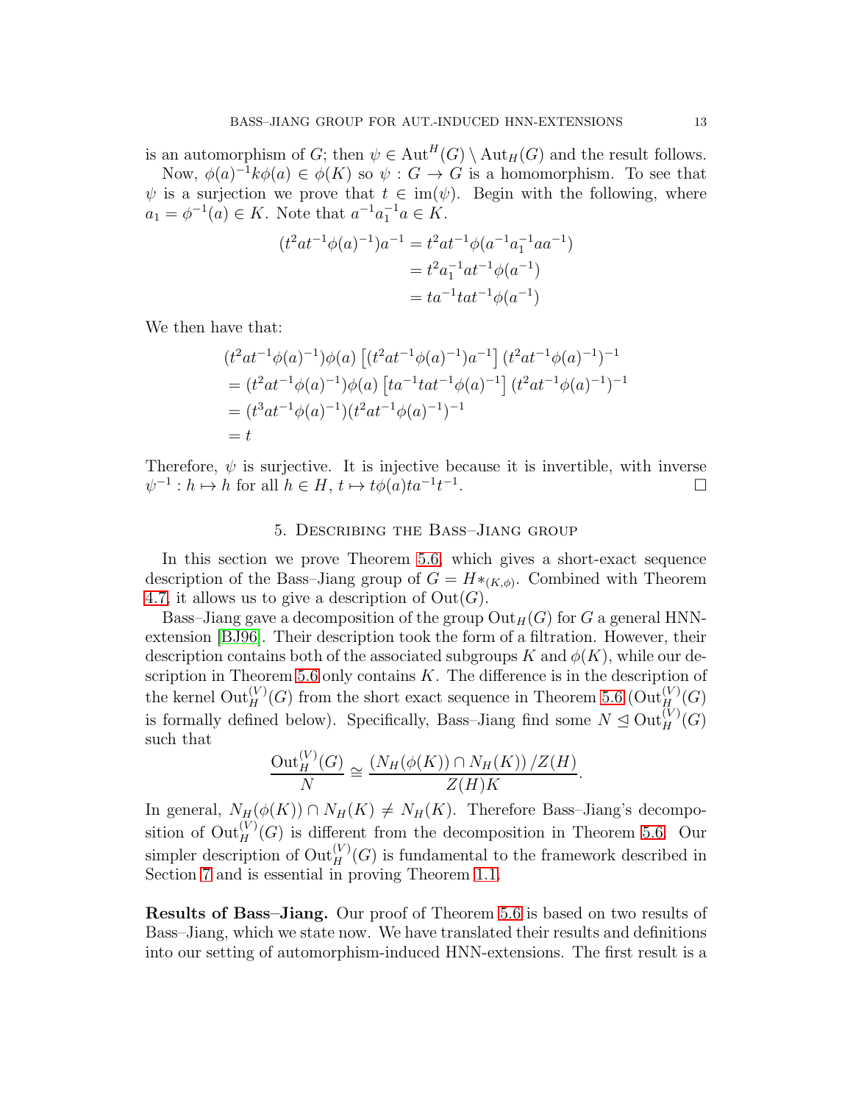is an automorphism of G; then  $\psi \in \text{Aut}^H(G) \setminus \text{Aut}_H(G)$  and the result follows. Now,  $\phi(a)^{-1}k\phi(a) \in \phi(K)$  so  $\psi: G \to G$  is a homomorphism. To see that

 $\psi$  is a surjection we prove that  $t \in \text{im}(\psi)$ . Begin with the following, where  $a_1 = \phi^{-1}(a) \in K$ . Note that  $a^{-1}a_1^{-1}a \in K$ .

$$
(t2at-1\phi(a)-1)a-1 = t2at-1\phi(a-1a1-1aa-1)
$$
  
= t<sup>2</sup>a<sub>1</sub><sup>-1</sup>at<sup>-1</sup>\phi(a<sup>-1</sup>)  
= ta<sup>-1</sup>tat<sup>-1</sup>\phi(a<sup>-1</sup>)

We then have that:

$$
(t^2at^{-1}\phi(a)^{-1})\phi(a) \left[ (t^2at^{-1}\phi(a)^{-1})a^{-1} \right] (t^2at^{-1}\phi(a)^{-1})^{-1}
$$
  
=  $(t^2at^{-1}\phi(a)^{-1})\phi(a) \left[ ta^{-1}tat^{-1}\phi(a)^{-1} \right] (t^2at^{-1}\phi(a)^{-1})^{-1}$   
=  $(t^3at^{-1}\phi(a)^{-1})(t^2at^{-1}\phi(a)^{-1})^{-1}$   
=  $t$ 

Therefore,  $\psi$  is surjective. It is injective because it is invertible, with inverse  $\psi^{-1}: h \mapsto \hat{h}$  for all  $h \in H$ ,  $t \mapsto t\phi(a)ta^{-1}t^{-1}$ . — Первый процесс в серверності в процесі в серверності в серверності в серверності в серверності в серверно<br>При в серверності в серверності в серверності в серверності в серверності в серверності в серверності в сервер

## 5. Describing the Bass–Jiang group

<span id="page-13-0"></span>In this section we prove Theorem [5.6,](#page-16-0) which gives a short-exact sequence description of the Bass–Jiang group of  $G = H^*_{(K,\phi)}$ . Combined with Theorem [4.7,](#page-12-0) it allows us to give a description of  $Out(G)$ .

Bass–Jiang gave a decomposition of the group  $Out_H(G)$  for G a general HNNextension [\[BJ96\]](#page-21-19). Their description took the form of a filtration. However, their description contains both of the associated subgroups K and  $\phi(K)$ , while our de-scription in Theorem [5.6](#page-16-0) only contains  $K$ . The difference is in the description of the kernel  $\mathrm{Out}_H^{(V)}(G)$  from the short exact sequence in Theorem [5.6](#page-16-0)  $(\mathrm{Out}_H^{(V)}(G))$ is formally defined below). Specifically, Bass-Jiang find some  $N \trianglelefteq \text{Out}_{H}^{(V)}(G)$ such that

$$
\frac{\mathrm{Out}_{H}^{(V)}(G)}{N} \cong \frac{(N_{H}(\phi(K)) \cap N_{H}(K)) / Z(H)}{Z(H)K}.
$$

In general,  $N_H(\phi(K)) \cap N_H(K) \neq N_H(K)$ . Therefore Bass–Jiang's decomposition of  $\mathrm{Out}_H^{(V)}(G)$  is different from the decomposition in Theorem [5.6.](#page-16-0) Our simpler description of  $\mathrm{Out}_H^{(V)}(G)$  is fundamental to the framework described in Section [7](#page-20-1) and is essential in proving Theorem [1.1.](#page-1-0)

Results of Bass–Jiang. Our proof of Theorem [5.6](#page-16-0) is based on two results of Bass–Jiang, which we state now. We have translated their results and definitions into our setting of automorphism-induced HNN-extensions. The first result is a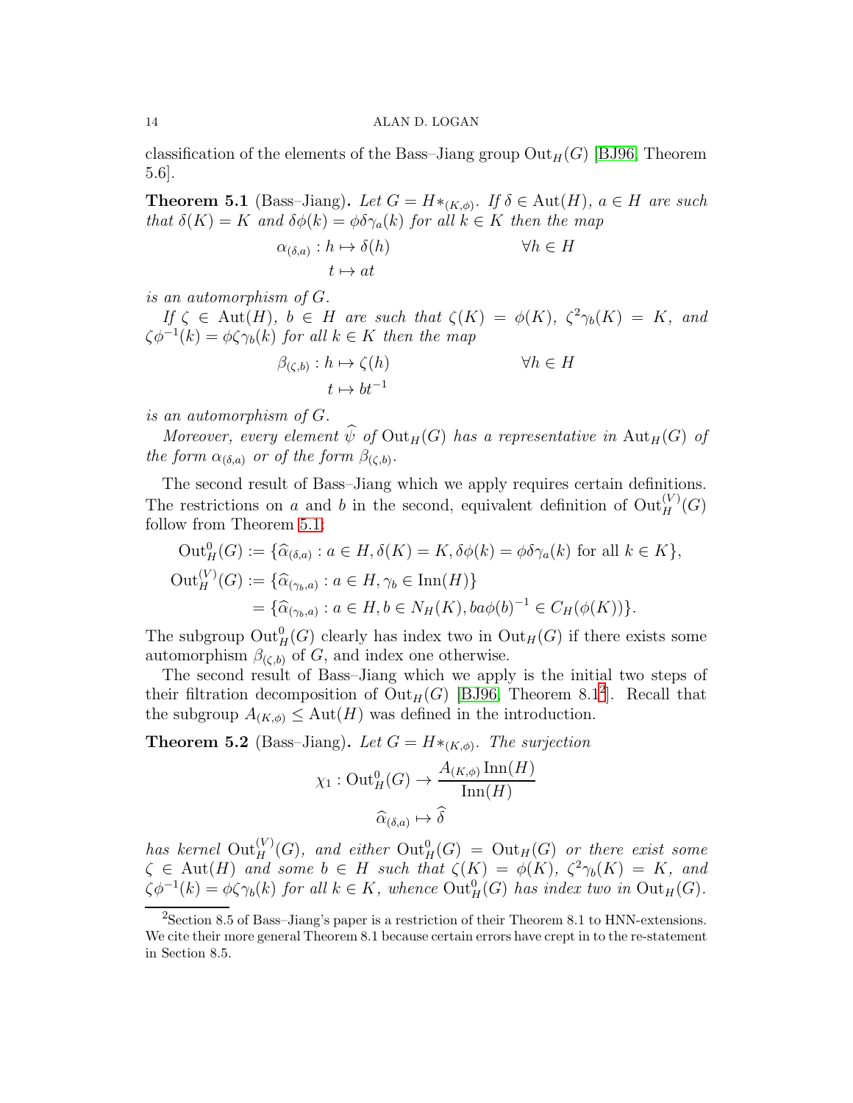classification of the elements of the Bass–Jiang group  $Out_H(G)$  [\[BJ96,](#page-21-19) Theorem 5.6].

<span id="page-14-0"></span>**Theorem 5.1** (Bass–Jiang). Let  $G = H *_{(K,\phi)}$ . If  $\delta \in \text{Aut}(H)$ ,  $a \in H$  are such *that*  $\delta(K) = K$  *and*  $\delta\phi(k) = \phi \delta \gamma_a(k)$  *for all*  $k \in K$  *then the map* 

$$
\alpha_{(\delta,a)}: h \mapsto \delta(h) \qquad \forall h \in H
$$

$$
t \mapsto at \qquad \qquad
$$

*is an automorphism of* G*.*

*If*  $\zeta \in$  Aut(*H*)*,*  $b \in$  *H are such that*  $\zeta(K) = \phi(K)$ *,*  $\zeta^2 \gamma_b(K) = K$ *, and*  $\zeta \phi^{-1}(k) = \phi \zeta \gamma_b(k)$  *for all*  $k \in K$  *then the map* 

$$
\beta_{(\zeta,b)} : h \mapsto \zeta(h) \qquad \forall h \in H
$$

$$
t \mapsto bt^{-1}
$$

*is an automorphism of* G*.*

*Moreover, every element*  $\widehat{\psi}$  *of*  $Out_H(G)$  *has a representative in*  $Aut_H(G)$  *of the form*  $\alpha_{(\delta,a)}$  *or of the form*  $\beta_{(\zeta,b)}$ *.* 

The second result of Bass–Jiang which we apply requires certain definitions. The restrictions on a and b in the second, equivalent definition of  $\mathrm{Out}_H^{(V)}(G)$ follow from Theorem [5.1:](#page-14-0)

$$
\begin{aligned} \text{Out}_{H}^{0}(G) &:= \{\widehat{\alpha}_{(\delta,a)} : a \in H, \delta(K) = K, \delta\phi(k) = \phi\delta\gamma_a(k) \text{ for all } k \in K\}, \\ \text{Out}_{H}^{(V)}(G) &:= \{\widehat{\alpha}_{(\gamma_b,a)} : a \in H, \gamma_b \in \text{Inn}(H)\} \\ &= \{\widehat{\alpha}_{(\gamma_b,a)} : a \in H, b \in N_H(K), ba\phi(b)^{-1} \in C_H(\phi(K))\}. \end{aligned}
$$

The subgroup  $\mathrm{Out}^0_H(G)$  clearly has index two in  $\mathrm{Out}_H(G)$  if there exists some automorphism  $\beta_{(\zeta,b)}$  of G, and index one otherwise.

The second result of Bass–Jiang which we apply is the initial two steps of their filtration decomposition of  $Out_H(G)$  [\[BJ96,](#page-21-19) Theorem 8.1<sup>[2](#page-14-1)</sup>]. Recall that the subgroup  $A_{(K,\phi)} \leq \text{Aut}(H)$  was defined in the introduction.

<span id="page-14-2"></span>**Theorem 5.2** (Bass–Jiang). Let  $G = H *_{(K,\phi)}$ . The surjection

$$
\chi_1: \operatorname{Out}_{H}^{0}(G) \to \frac{A_{(K,\phi)} \operatorname{Inn}(H)}{\operatorname{Inn}(H)}
$$

$$
\widehat{\alpha}_{(\delta,a)} \mapsto \widehat{\delta}
$$

has kernel  ${\rm Out}_H^{(V)}(G)$ , and either  ${\rm Out}_H^0(G) = {\rm Out}_H(G)$  or there exist some  $\zeta \in \text{Aut}(H)$  and some  $b \in H$  such that  $\zeta(K) = \phi(K)$ ,  $\zeta^2 \gamma_b(K) = K$ , and  $\zeta \phi^{-1}(k) = \phi \zeta \gamma_b(k)$  for all  $k \in K$ , whence  $\text{Out}_H^0(G)$  has index two in  $\text{Out}_H(G)$ .

<span id="page-14-1"></span> ${}^{2}$ Section 8.5 of Bass–Jiang's paper is a restriction of their Theorem 8.1 to HNN-extensions. We cite their more general Theorem 8.1 because certain errors have crept in to the re-statement in Section 8.5.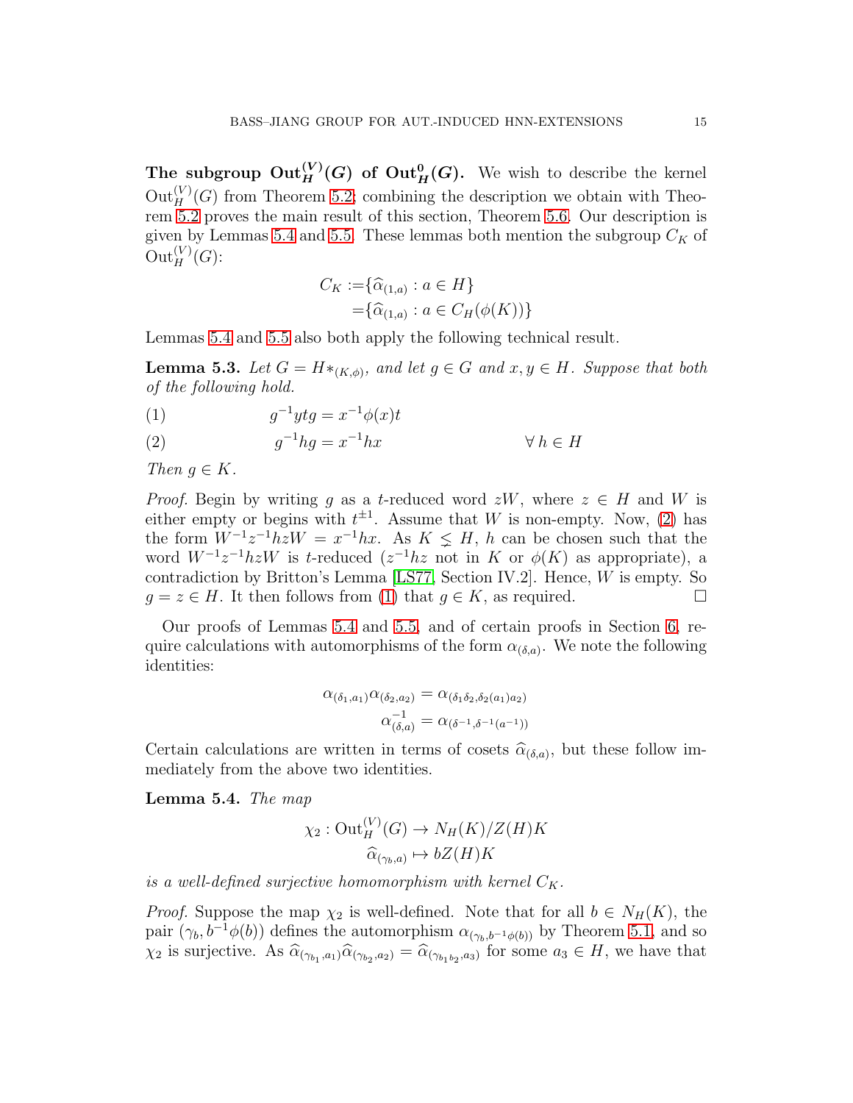The subgroup  $\mathrm{Out}_H^{(V)}(G)$  of  $\mathrm{Out}_H^0(G)$ . We wish to describe the kernel  $\mathrm{Out}_{H}^{(V)}(G)$  from Theorem [5.2;](#page-14-2) combining the description we obtain with Theorem [5.2](#page-14-2) proves the main result of this section, Theorem [5.6.](#page-16-0) Our description is given by Lemmas [5.4](#page-15-0) and [5.5.](#page-16-1) These lemmas both mention the subgroup  $C_K$  of  $\mathrm{Out}_H^{(V)}(G)$ :

$$
C_K := \{ \widehat{\alpha}_{(1,a)} : a \in H \}
$$
  
=  $\{ \widehat{\alpha}_{(1,a)} : a \in C_H(\phi(K)) \}$ 

Lemmas [5.4](#page-15-0) and [5.5](#page-16-1) also both apply the following technical result.

<span id="page-15-3"></span>**Lemma 5.3.** Let  $G = H *_{(K,\phi)}$ , and let  $g \in G$  and  $x, y \in H$ . Suppose that both *of the following hold.*

<span id="page-15-2"></span>
$$
(1) \t\t g-1ytg = x-1\phi(x)t
$$

<span id="page-15-1"></span>(2) 
$$
g^{-1}hg = x^{-1}hx \qquad \forall h \in H
$$

*Then*  $q \in K$ .

*Proof.* Begin by writing g as a t-reduced word  $zW$ , where  $z \in H$  and W is either empty or begins with  $t^{\pm 1}$ . Assume that W is non-empty. Now, [\(2\)](#page-15-1) has the form  $W^{-1}z^{-1}hzW = x^{-1}hx$ . As  $K \leq H$ , h can be chosen such that the word  $W^{-1}z^{-1}hzW$  is t-reduced  $(z^{-1}hz$  not in K or  $\phi(K)$  as appropriate), a contradiction by Britton's Lemma [\[LS77,](#page-21-18) Section IV.2]. Hence, W is empty. So  $g = z \in H$ . It then follows from [\(1\)](#page-15-2) that  $g \in K$ , as required.

Our proofs of Lemmas [5.4](#page-15-0) and [5.5,](#page-16-1) and of certain proofs in Section [6,](#page-17-0) require calculations with automorphisms of the form  $\alpha_{(\delta,a)}$ . We note the following identities:

$$
\alpha_{(\delta_1, a_1)} \alpha_{(\delta_2, a_2)} = \alpha_{(\delta_1 \delta_2, \delta_2(a_1)a_2)} \n\alpha_{(\delta, a)}^{-1} = \alpha_{(\delta^{-1}, \delta^{-1}(a^{-1}))}
$$

Certain calculations are written in terms of cosets  $\hat{\alpha}_{(\delta,a)}$ , but these follow immediately from the above two identities.

<span id="page-15-0"></span>Lemma 5.4. *The map*

$$
\chi_2: \operatorname{Out}_H^{(V)}(G) \to N_H(K)/Z(H)K
$$

$$
\widehat{\alpha}_{(\gamma_b, a)} \mapsto bZ(H)K
$$

*is a well-defined surjective homomorphism with kernel*  $C_K$ .

*Proof.* Suppose the map  $\chi_2$  is well-defined. Note that for all  $b \in N_H(K)$ , the pair  $(\gamma_b, b^{-1}\phi(b))$  defines the automorphism  $\alpha_{(\gamma_b, b^{-1}\phi(b))}$  by Theorem [5.1,](#page-14-0) and so  $\chi_2$  is surjective. As  $\widehat{\alpha}_{(\gamma_{b_1},a_1)}\widehat{\alpha}_{(\gamma_{b_2},a_2)}=\widehat{\alpha}_{(\gamma_{b_1b_2},a_3)}$  for some  $a_3 \in H$ , we have that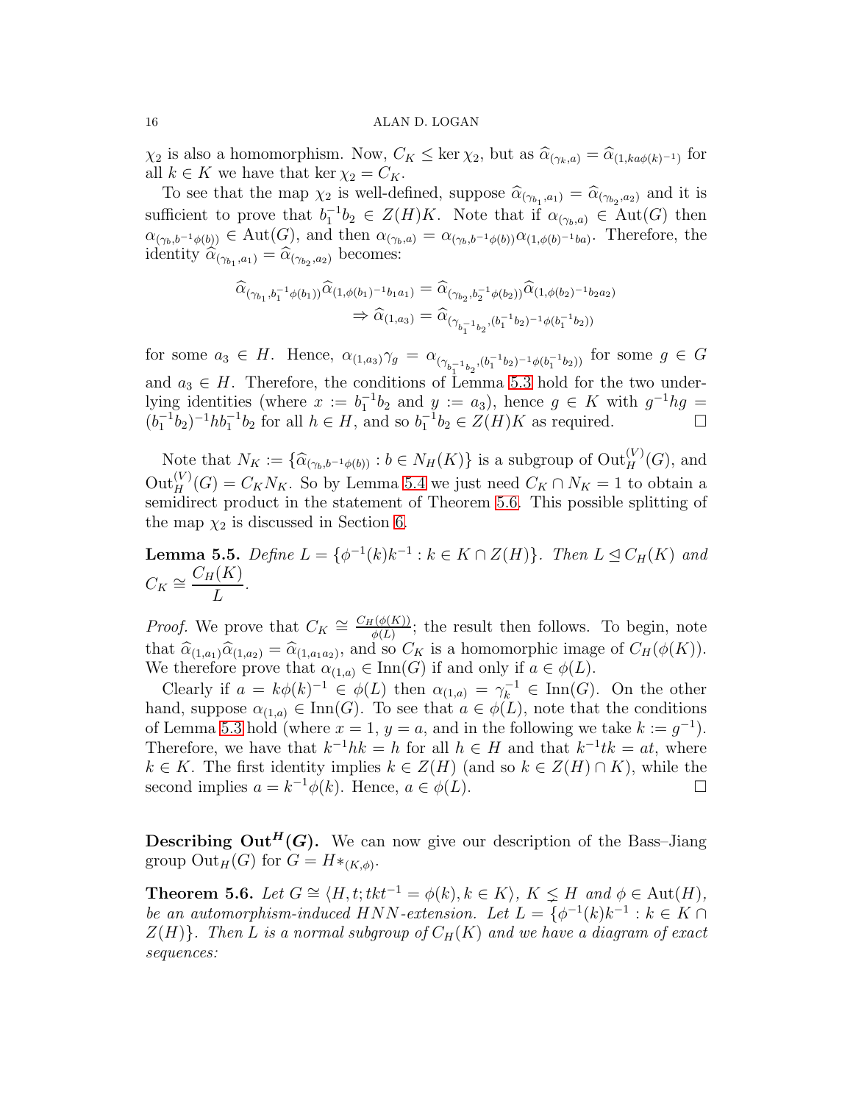$\chi_2$  is also a homomorphism. Now,  $C_K \leq \ker \chi_2$ , but as  $\widehat{\alpha}_{(\gamma_k, a)} = \widehat{\alpha}_{(1, ka\phi(k)^{-1})}$  for all  $k \in K$  we have that ker  $\chi_2 = C_K$ .

To see that the map  $\chi_2$  is well-defined, suppose  $\widehat{\alpha}_{(\gamma_{b_1},a_1)} = \widehat{\alpha}_{(\gamma_{b_2},a_2)}$  and it is sufficient to prove that  $b_1^{-1}b_2 \in Z(H)K$ . Note that if  $\alpha_{(\gamma_b,a)} \in Aut(G)$  then  $\alpha_{(\gamma_b,b^{-1}\phi(b))} \in \text{Aut}(G)$ , and then  $\alpha_{(\gamma_b,a)} = \alpha_{(\gamma_b,b^{-1}\phi(b))}\alpha_{(1,\phi(b)^{-1}ba)}$ . Therefore, the identity  $\widehat{\alpha}_{(\gamma_{b_1},a_1)} = \widehat{\alpha}_{(\gamma_{b_2},a_2)}$  becomes:

$$
\begin{aligned}\n\widehat{\alpha}_{(\gamma_{b_1}, b_1^{-1}\phi(b_1))}\widehat{\alpha}_{(1, \phi(b_1)^{-1}b_1a_1)} &= \widehat{\alpha}_{(\gamma_{b_2}, b_2^{-1}\phi(b_2))}\widehat{\alpha}_{(1, \phi(b_2)^{-1}b_2a_2)} \\
&\Rightarrow \widehat{\alpha}_{(1, a_3)} = \widehat{\alpha}_{(\gamma_{b_1^{-1}b_2}, (b_1^{-1}b_2)^{-1}\phi(b_1^{-1}b_2))}\n\end{aligned}
$$

for some  $a_3 \in H$ . Hence,  $\alpha_{(1,a_3)} \gamma_g = \alpha_{(\gamma_{b_1^{-1}b_2},(b_1^{-1}b_2)^{-1}\phi(b_1^{-1}b_2))}$  for some  $g \in G$ and  $a_3 \in H$ . Therefore, the conditions of Lemma [5.3](#page-15-3) hold for the two underlying identities (where  $x := b_1^{-1}b_2$  and  $y := a_3$ ), hence  $g \in K$  with  $g^{-1}hg =$  $(b_1^{-1}b_2)^{-1}hb_1^{-1}b_2$  for all  $h \in H$ , and so  $b_1^{-1}b_2 \in Z(H)K$  as required.

Note that  $N_K := \{ \widehat{\alpha}_{(\gamma_b, b^{-1}\phi(b))} : b \in N_H(K) \}$  is a subgroup of  ${\rm Out}_H^{(V)}(G)$ , and  $\text{Out}_H^{(V)}(G) = C_K N_K$ . So by Lemma [5.4](#page-15-0) we just need  $C_K \cap N_K = 1$  to obtain a semidirect product in the statement of Theorem [5.6.](#page-16-0) This possible splitting of the map  $\chi_2$  is discussed in Section [6.](#page-17-0)

<span id="page-16-1"></span>**Lemma 5.5.** *Define*  $L = \{ \phi^{-1}(k)k^{-1} : k \in K \cap Z(H) \}$ *. Then*  $L \leq C_H(K)$  *and*  $C_K \cong \frac{C_H(K)}{L}$ L *.*

*Proof.* We prove that  $C_K \cong \frac{C_H(\phi(K))}{\phi(L)}$  $\frac{\Gamma(\phi(K))}{\phi(L)}$ ; the result then follows. To begin, note that  $\widehat{\alpha}_{(1,a_1)}\widehat{\alpha}_{(1,a_2)} = \widehat{\alpha}_{(1,a_1a_2)}$ , and so  $C_K$  is a homomorphic image of  $C_H(\phi(K))$ . We therefore prove that  $\alpha_{(1,a)} \in \text{Inn}(G)$  if and only if  $a \in \phi(L)$ .

Clearly if  $a = k\phi(k)^{-1} \in \phi(L)$  then  $\alpha_{(1,a)} = \gamma_k^{-1} \in \text{Inn}(G)$ . On the other hand, suppose  $\alpha_{(1,a)} \in \text{Inn}(G)$ . To see that  $a \in \phi(L)$ , note that the conditions of Lemma [5.3](#page-15-3) hold (where  $x = 1$ ,  $y = a$ , and in the following we take  $k := g^{-1}$ ). Therefore, we have that  $k^{-1}hk = h$  for all  $h \in H$  and that  $k^{-1}tk = at$ , where  $k \in K$ . The first identity implies  $k \in Z(H)$  (and so  $k \in Z(H) \cap K$ ), while the second implies  $a = k^{-1}\phi(k)$ . Hence,  $a \in \phi(L)$ .

**Describing Out<sup>H</sup>(G).** We can now give our description of the Bass-Jiang group  $\mathrm{Out}_H(G)$  for  $G = H *_{(K,\phi)}$ .

<span id="page-16-0"></span>**Theorem 5.6.** *Let*  $G \cong \langle H, t; t k t^{-1} = \phi(k), k \in K \rangle$ ,  $K \leq H$  *and*  $\phi \in \text{Aut}(H)$ *, be an automorphism-induced*  $HNN$ -extension. Let  $L = \{ \phi^{-1}(k)k^{-1} : k \in K \cap \mathbb{R} \}$  $Z(H)$ *. Then* L *is a normal subgroup of*  $C_H(K)$  *and we have a diagram of exact sequences:*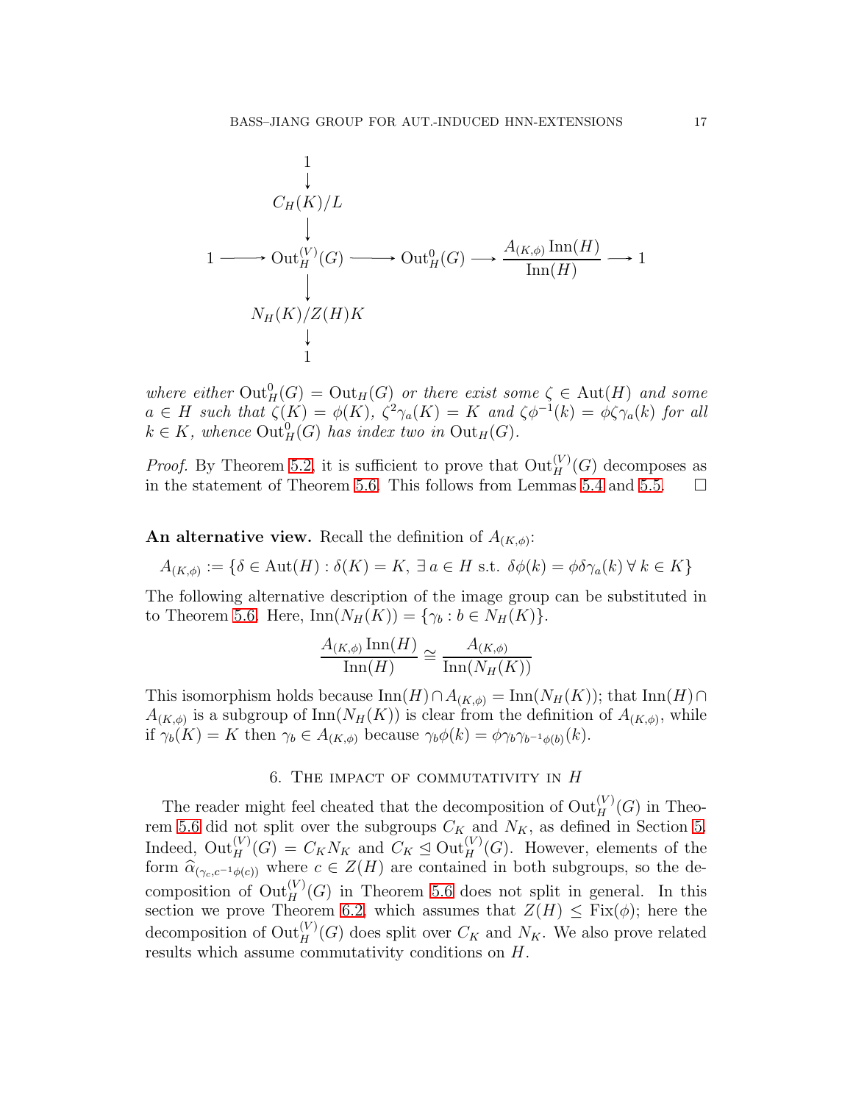$$
\begin{array}{ccc}\n & 1 & & \downarrow & \\
 & \downarrow & & \\
 & \downarrow & & \\
 1 & \longrightarrow \text{Out}_{H}^{(V)}(G) \longrightarrow \text{Out}_{H}^{0}(G) \longrightarrow \frac{A_{(K,\phi)}\operatorname{Inn}(H)}{\operatorname{Inn}(H)} \longrightarrow 1 \\
 & \downarrow & \\
 & \downarrow & \\
 & 1 & \n\end{array}
$$

where either  $Out_H^0(G) = Out_H(G)$  *or there exist some*  $\zeta \in Aut(H)$  *and some*  $a \in H$  such that  $\zeta(K) = \phi(K)$ ,  $\zeta^2 \gamma_a(K) = K$  and  $\zeta \phi^{-1}(k) = \phi \zeta \gamma_a(k)$  for all  $k \in K$ , whence  $\mathrm{Out}^0_H(G)$  has index two in  $\mathrm{Out}_H(G)$ .

*Proof.* By Theorem [5.2,](#page-14-2) it is sufficient to prove that  $Out_H^{(V)}(G)$  decomposes as in the statement of Theorem [5.6.](#page-16-0) This follows from Lemmas [5.4](#page-15-0) and [5.5.](#page-16-1)  $\Box$ 

An alternative view. Recall the definition of  $A_{(K,\phi)}$ :

$$
A_{(K,\phi)} := \{ \delta \in \text{Aut}(H) : \delta(K) = K, \ \exists \ a \in H \text{ s.t. } \delta\phi(k) = \phi\delta\gamma_a(k) \ \forall \ k \in K \}
$$

The following alternative description of the image group can be substituted in to Theorem [5.6.](#page-16-0) Here,  $\text{Inn}(N_H(K)) = \{\gamma_b : b \in N_H(K)\}.$ 

$$
\frac{A_{(K,\phi)}\operatorname{Inn}(H)}{\operatorname{Inn}(H)} \cong \frac{A_{(K,\phi)}}{\operatorname{Inn}(N_H(K))}
$$

This isomorphism holds because  $\text{Inn}(H) \cap A_{(K,\phi)} = \text{Inn}(N_H(K))$ ; that  $\text{Inn}(H) \cap A_{(K,\phi)}$  $A_{(K,\phi)}$  is a subgroup of  $\text{Inn}(N_H(K))$  is clear from the definition of  $A_{(K,\phi)}$ , while if  $\gamma_b(K) = K$  then  $\gamma_b \in A_{(K,\phi)}$  because  $\gamma_b \phi(k) = \phi \gamma_b \gamma_{b^{-1}\phi(b)}(k)$ .

## 6. THE IMPACT OF COMMUTATIVITY IN  $H$

<span id="page-17-0"></span>The reader might feel cheated that the decomposition of  $\mathrm{Out}_H^{(V)}(G)$  in Theo-rem [5.6](#page-16-0) did not split over the subgroups  $C_K$  and  $N_K$ , as defined in Section [5.](#page-13-0) Indeed,  $\mathrm{Out}_H^{(V)}(G) = C_K N_K$  and  $C_K \trianglelefteq \mathrm{Out}_H^{(V)}(G)$ . However, elements of the form  $\widehat{\alpha}_{(\gamma_c,c^{-1}\phi(c))}$  where  $c \in Z(H)$  are contained in both subgroups, so the decomposition of  $\mathrm{Out}_H^{(V)}(G)$  in Theorem [5.6](#page-16-0) does not split in general. In this section we prove Theorem [6.2,](#page-18-0) which assumes that  $Z(H) \leq Fix(\phi)$ ; here the decomposition of  $\mathrm{Out}_H^{(V)}(G)$  does split over  $C_K$  and  $N_K$ . We also prove related results which assume commutativity conditions on H.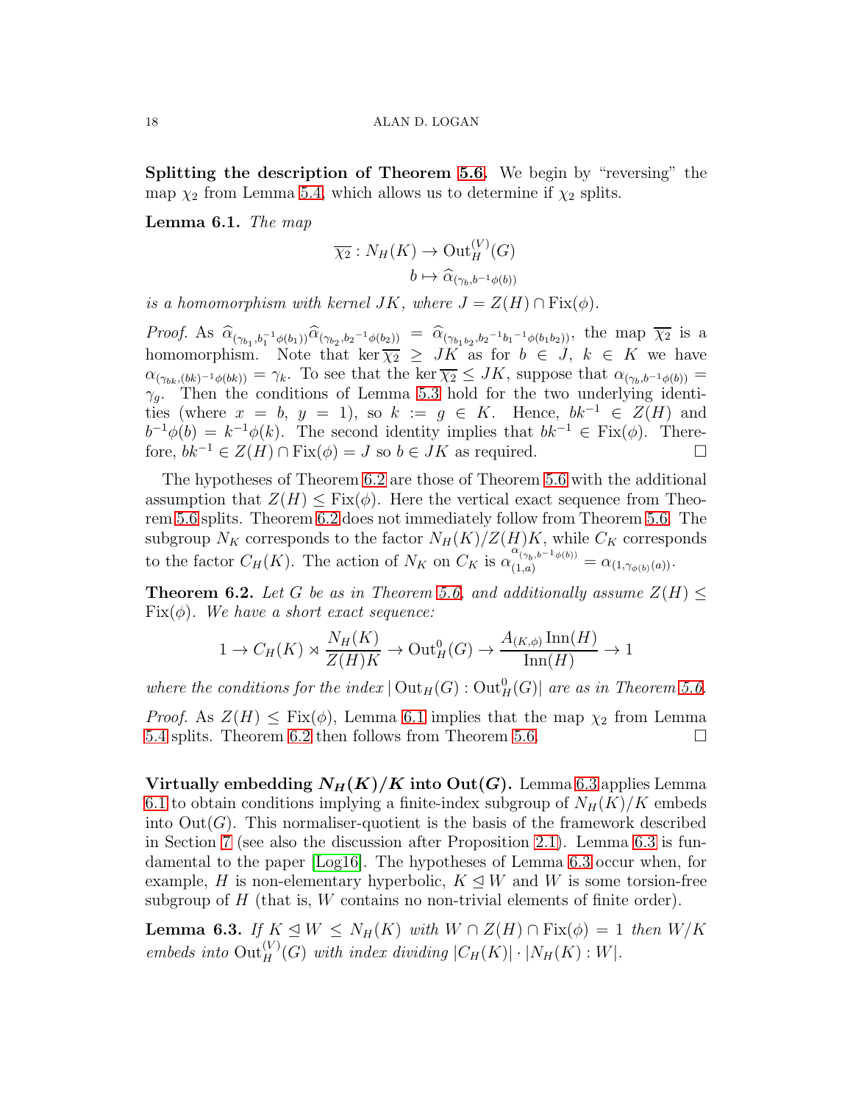Splitting the description of Theorem [5.6.](#page-16-0) We begin by "reversing" the map  $\chi_2$  from Lemma [5.4,](#page-15-0) which allows us to determine if  $\chi_2$  splits.

<span id="page-18-2"></span>Lemma 6.1. *The map*

$$
\overline{\chi_2}: N_H(K) \to \mathrm{Out}_H^{(V)}(G)
$$

$$
b \mapsto \widehat{\alpha}_{(\gamma_b, b^{-1}\phi(b))}
$$

*is a homomorphism with kernel*  $JK$ , where  $J = Z(H) \cap Fix(\phi)$ .

*Proof.* As  $\hat{\alpha}_{(\gamma_{b_1},b_1^{-1}\phi(b_1))}\hat{\alpha}_{(\gamma_{b_2},b_2^{-1}\phi(b_2))} = \hat{\alpha}_{(\gamma_{b_1b_2},b_2^{-1}b_1^{-1}\phi(b_1b_2))}$ , the map  $\overline{\chi_2}$  is a homomorphism. Note that ker  $\overline{\chi_2} \geq JK$  as for  $b \in J$ ,  $k \in K$  we have  $\alpha_{(\gamma_{bk},(bk)^{-1}\phi(bk))} = \gamma_k$ . To see that the ker  $\overline{\chi_2} \leq JK$ , suppose that  $\alpha_{(\gamma_b,b^{-1}\phi(b))} =$  $\gamma_g$ . Then the conditions of Lemma [5.3](#page-15-3) hold for the two underlying identities (where  $x = b$ ,  $y = 1$ ), so  $k := g \in K$ . Hence,  $bk^{-1} \in Z(H)$  and  $b^{-1}\phi(b) = k^{-1}\phi(k)$ . The second identity implies that  $bk^{-1} \in Fix(\phi)$ . Therefore,  $bk^{-1} \in Z(H) \cap Fix(\phi) = J$  so  $b \in JK$  as required.

The hypotheses of Theorem [6.2](#page-18-0) are those of Theorem [5.6](#page-16-0) with the additional assumption that  $Z(H) \leq Fix(\phi)$ . Here the vertical exact sequence from Theorem [5.6](#page-16-0) splits. Theorem [6.2](#page-18-0) does not immediately follow from Theorem [5.6.](#page-16-0) The subgroup  $N_K$  corresponds to the factor  $N_H(K)/Z(H)K$ , while  $C_K$  corresponds to the factor  $C_H(K)$ . The action of  $N_K$  on  $C_K$  is  $\alpha_{(1,a)}^{\alpha_{(\gamma_b,b^{-1}\phi(b))}} = \alpha_{(1,\gamma_{\phi(b)}(a))}$ .

<span id="page-18-0"></span>**Theorem 6.2.** Let G be as in Theorem [5.6,](#page-16-0) and additionally assume  $Z(H) \leq$ Fix(φ)*. We have a short exact sequence:*

$$
1 \to C_H(K) \rtimes \frac{N_H(K)}{Z(H)K} \to \text{Out}_{H}^{0}(G) \to \frac{A_{(K,\phi)} \text{Inn}(H)}{\text{Inn}(H)} \to 1
$$

where the conditions for the index  $|\text{Out}_H(G)|$  out $_H^0(G)|$  are as in Theorem [5.6.](#page-16-0)

*Proof.* As  $Z(H) \leq Fix(\phi)$ , Lemma [6.1](#page-18-2) implies that the map  $\chi_2$  from Lemma [5.4](#page-15-0) splits. Theorem [6.2](#page-18-0) then follows from Theorem [5.6.](#page-16-0)

Virtually embedding  $N_H(K)/K$  into Out(G). Lemma [6.3](#page-18-1) applies Lemma [6.1](#page-18-2) to obtain conditions implying a finite-index subgroup of  $N_H(K)/K$  embeds into  $Out(G)$ . This normaliser-quotient is the basis of the framework described in Section [7](#page-20-1) (see also the discussion after Proposition [2.1\)](#page-5-1). Lemma [6.3](#page-18-1) is fundamental to the paper [\[Log16\]](#page-21-8). The hypotheses of Lemma [6.3](#page-18-1) occur when, for example, H is non-elementary hyperbolic,  $K \triangleleft W$  and W is some torsion-free subgroup of  $H$  (that is,  $W$  contains no non-trivial elements of finite order).

<span id="page-18-1"></span>**Lemma 6.3.** *If*  $K \leq W \leq N_H(K)$  *with*  $W \cap Z(H) \cap Fix(\phi) = 1$  *then*  $W/K$ *embeds into*  $Out_H^{(V)}(G)$  *with index dividing*  $|C_H(K)| \cdot |N_H(K):W|$ *.*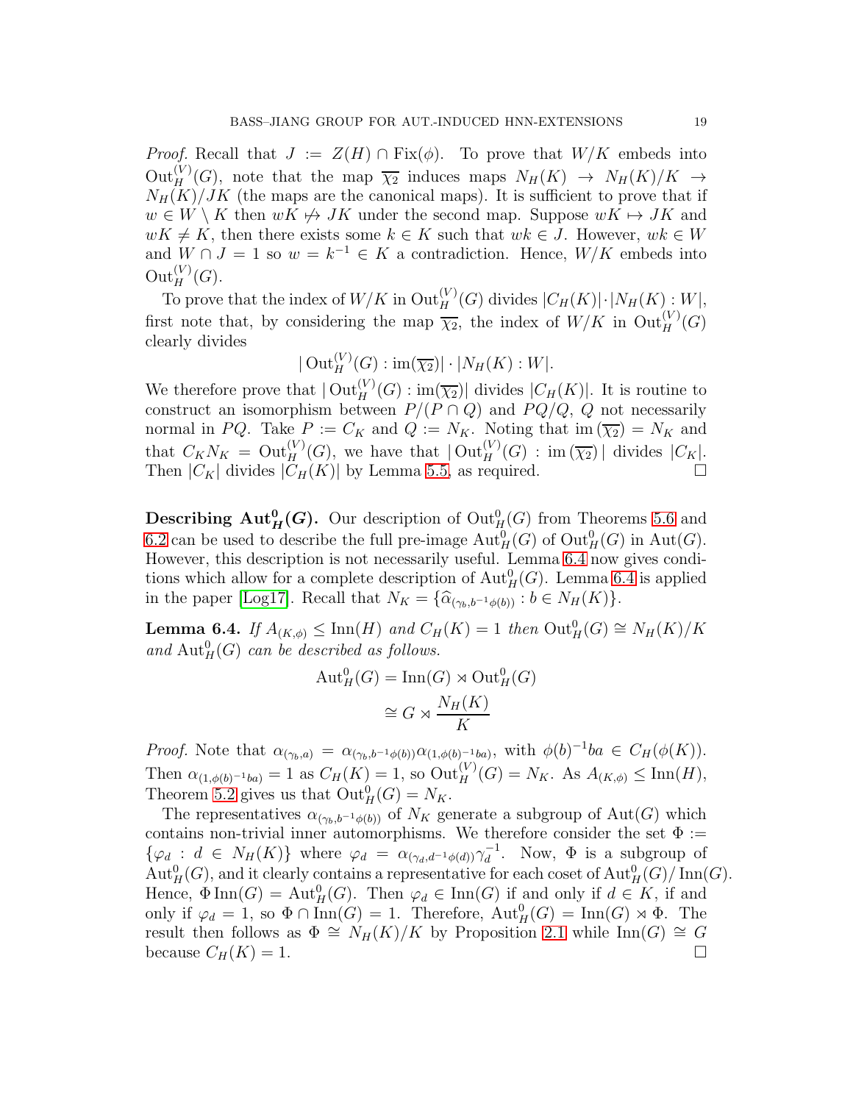*Proof.* Recall that  $J := Z(H) \cap Fix(\phi)$ . To prove that  $W/K$  embeds into  $Out_H^{(V)}(G)$ , note that the map  $\overline{\chi_2}$  induces maps  $N_H(K) \rightarrow N_H(K)/K \rightarrow$  $N_H(K)/JK$  (the maps are the canonical maps). It is sufficient to prove that if  $w \in W \setminus K$  then  $wK \not\mapsto JK$  under the second map. Suppose  $wK \mapsto JK$  and  $wK \neq K$ , then there exists some  $k \in K$  such that  $wk \in J$ . However,  $wk \in W$ and  $W \cap J = 1$  so  $w = k^{-1} \in K$  a contradiction. Hence,  $W/K$  embeds into  $\mathrm{Out}_H^{(V)}(G).$ 

To prove that the index of  $W/K$  in  $\mathrm{Out}_H^{(V)}(G)$  divides  $|C_H(K)| \cdot |N_H(K):W|$ , first note that, by considering the map  $\overline{\chi_2}$ , the index of  $W/K$  in  $\text{Out}_H^{(V)}(G)$ clearly divides

 $|\operatorname{Out}_H^{(V)}(G):\operatorname{im}(\overline{\chi_2})|\cdot|N_H(K):W|.$ 

We therefore prove that  $|\text{Out}_H^{(V)}(G):\text{im}(\overline{\chi_2})|$  divides  $|C_H(K)|$ . It is routine to construct an isomorphism between  $P/(P \cap Q)$  and  $PQ/Q$ , Q not necessarily normal in PQ. Take  $P := C_K$  and  $Q := N_K$ . Noting that im  $(\overline{\chi_2}) = N_K$  and that  $C_K N_K = \mathrm{Out}_H^{(V)}(G)$ , we have that  $|\mathrm{Out}_H^{(V)}(G)|$ : im  $(\overline{\chi_2})$  divides  $|C_K|$ . Then  $|C_K|$  divides  $|C_H(K)|$  by Lemma [5.5,](#page-16-1) as required.

**Describing Aut**<sup>0</sup><sub>H</sub>(*G*). Our description of  $\text{Out}_{H}^{0}(G)$  from Theorems [5.6](#page-16-0) and [6.2](#page-18-0) can be used to describe the full pre-image  $\text{Aut}_{H}^{0}(G)$  of  $\text{Out}_{H}^{0}(G)$  in  $\text{Aut}(G)$ . However, this description is not necessarily useful. Lemma [6.4](#page-19-0) now gives conditions which allow for a complete description of  $\text{Aut}_{H}^{0}(G)$ . Lemma [6.4](#page-19-0) is applied in the paper [\[Log17\]](#page-21-9). Recall that  $N_K = {\hat{\alpha}}_{(\gamma_b, b^{-1}\phi(b))} : b \in N_H(K)$ .

<span id="page-19-0"></span>**Lemma 6.4.** *If*  $A_{(K,\phi)} \leq \text{Inn}(H)$  *and*  $C_H(K) = 1$  *then*  $\text{Out}_H^0(G) \cong N_H(K)/K$ and  $\text{Aut}_{H}^{0}(G)$  *can be described as follows.* 

$$
\text{Aut}_{H}^{0}(G) = \text{Inn}(G) \rtimes \text{Out}_{H}^{0}(G)
$$

$$
\cong G \rtimes \frac{N_{H}(K)}{K}
$$

*Proof.* Note that  $\alpha_{(\gamma_b,a)} = \alpha_{(\gamma_b,b^{-1}\phi(b))}\alpha_{(1,\phi(b)^{-1}ba)}$ , with  $\phi(b)^{-1}ba \in C_H(\phi(K))$ . Then  $\alpha_{(1,\phi(b)^{-1}ba)} = 1$  as  $C_H(K) = 1$ , so  $\text{Out}_H^{(V)}(G) = N_K$ . As  $A_{(K,\phi)} \le \text{Inn}(H)$ , Theorem [5.2](#page-14-2) gives us that  $\mathrm{Out}^0_H(G) = N_K$ .

The representatives  $\alpha_{(\gamma_b, b^{-1}\phi(b))}$  of  $N_K$  generate a subgroup of  $Aut(G)$  which contains non-trivial inner automorphisms. We therefore consider the set  $\Phi$  :=  $\{\varphi_d : d \in N_H(K)\}\$  where  $\varphi_d = \alpha_{(\gamma_d, d^{-1}\phi(d))}\gamma_d^{-1}$  $\overline{d}^{\perp}$ . Now,  $\Phi$  is a subgroup of  $\text{Aut}_{H}^{0}(G)$ , and it clearly contains a representative for each coset of  $\text{Aut}_{H}^{0}(G)/\text{Inn}(G)$ . Hence,  $\Phi$ Inn(G) = Aut<sup>0</sup><sub>H</sub>(G). Then  $\varphi_d \in \text{Inn}(G)$  if and only if  $d \in K$ , if and only if  $\varphi_d = 1$ , so  $\Phi \cap \text{Inn}(G) = 1$ . Therefore,  $\text{Aut}_H^0(G) = \text{Inn}(G) \rtimes \Phi$ . The result then follows as  $\Phi \cong N_H(K)/K$  by Proposition [2.1](#page-5-1) while Inn(G)  $\cong G$ because  $C_H(K) = 1$ .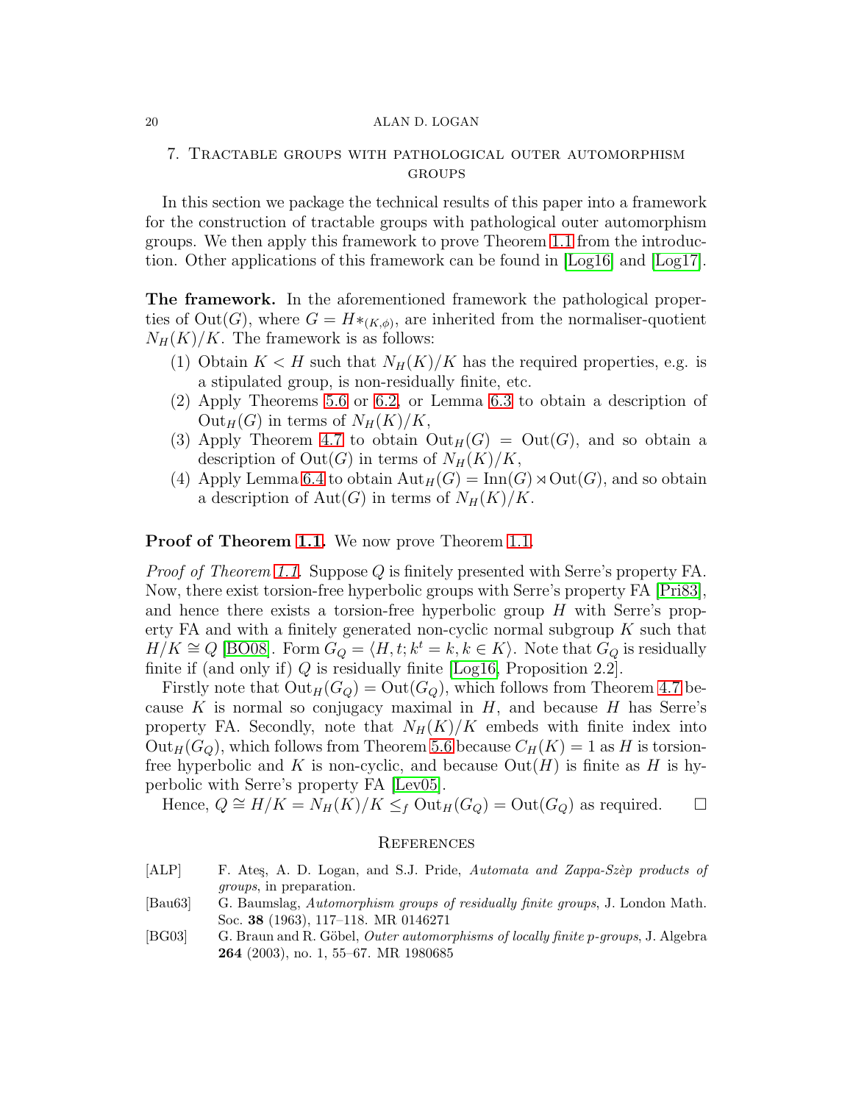## 7. Tractable groups with pathological outer automorphism **GROUPS**

In this section we package the technical results of this paper into a framework for the construction of tractable groups with pathological outer automorphism groups. We then apply this framework to prove Theorem [1.1](#page-1-0) from the introduction. Other applications of this framework can be found in [\[Log16\]](#page-21-8) and [\[Log17\]](#page-21-9).

The framework. In the aforementioned framework the pathological properties of  $Out(G)$ , where  $G = H^*_{(K,\phi)}$ , are inherited from the normaliser-quotient  $N_H(K)/K$ . The framework is as follows:

- (1) Obtain  $K < H$  such that  $N_H(K)/K$  has the required properties, e.g. is a stipulated group, is non-residually finite, etc.
- (2) Apply Theorems [5.6](#page-16-0) or [6.2,](#page-18-0) or Lemma [6.3](#page-18-1) to obtain a description of  $Out_H(G)$  in terms of  $N_H(K)/K$ ,
- (3) Apply Theorem [4.7](#page-12-0) to obtain  $Out_H(G) = Out(G)$ , and so obtain a description of  $Out(G)$  in terms of  $N_H(K)/K$ ,
- (4) Apply Lemma [6.4](#page-19-0) to obtain  ${\rm Aut}_H(G) = {\rm Inn}(G) \rtimes {\rm Out}(G)$ , and so obtain a description of  $Aut(G)$  in terms of  $N_H(K)/K$ .

Proof of Theorem [1.1.](#page-1-0) We now prove Theorem 1.1.

*Proof of Theorem [1.1.](#page-1-0)* Suppose Q is finitely presented with Serre's property FA. Now, there exist torsion-free hyperbolic groups with Serre's property FA [\[Pri83\]](#page-22-5), and hence there exists a torsion-free hyperbolic group  $H$  with Serre's property FA and with a finitely generated non-cyclic normal subgroup  $K$  such that  $H/K \cong Q$  [\[BO08\]](#page-21-13). Form  $G_Q = \langle H, t; k^t = k, k \in K \rangle$ . Note that  $G_Q$  is residually finite if (and only if)  $Q$  is residually finite [\[Log16,](#page-21-8) Proposition 2.2].

Firstly note that  $Out_H(G_Q) = Out(G_Q)$ , which follows from Theorem [4.7](#page-12-0) because K is normal so conjugacy maximal in  $H$ , and because H has Serre's property FA. Secondly, note that  $N_H(K)/K$  embeds with finite index into  $Out_H(G_Q)$ , which follows from Theorem [5.6](#page-16-0) because  $C_H(K) = 1$  as H is torsionfree hyperbolic and K is non-cyclic, and because  $Out(H)$  is finite as H is hyperbolic with Serre's property FA [\[Lev05\]](#page-21-20).

Hence,  $Q \cong H/K = N_H(K)/K \leq_f \text{Out}_H(G_Q) = \text{Out}(G_Q)$  as required.  $\Box$ 

## **REFERENCES**

- <span id="page-20-2"></span>[ALP] F. Ates, A. D. Logan, and S.J. Pride, Automata and Zappa-Szèp products of groups, in preparation.
- <span id="page-20-3"></span>[Bau63] G. Baumslag, Automorphism groups of residually finite groups, J. London Math. Soc. 38 (1963), 117–118. MR 0146271
- <span id="page-20-0"></span>[BG03] G. Braun and R. Göbel, *Outer automorphisms of locally finite p-groups*, J. Algebra 264 (2003), no. 1, 55–67. MR 1980685

<span id="page-20-1"></span>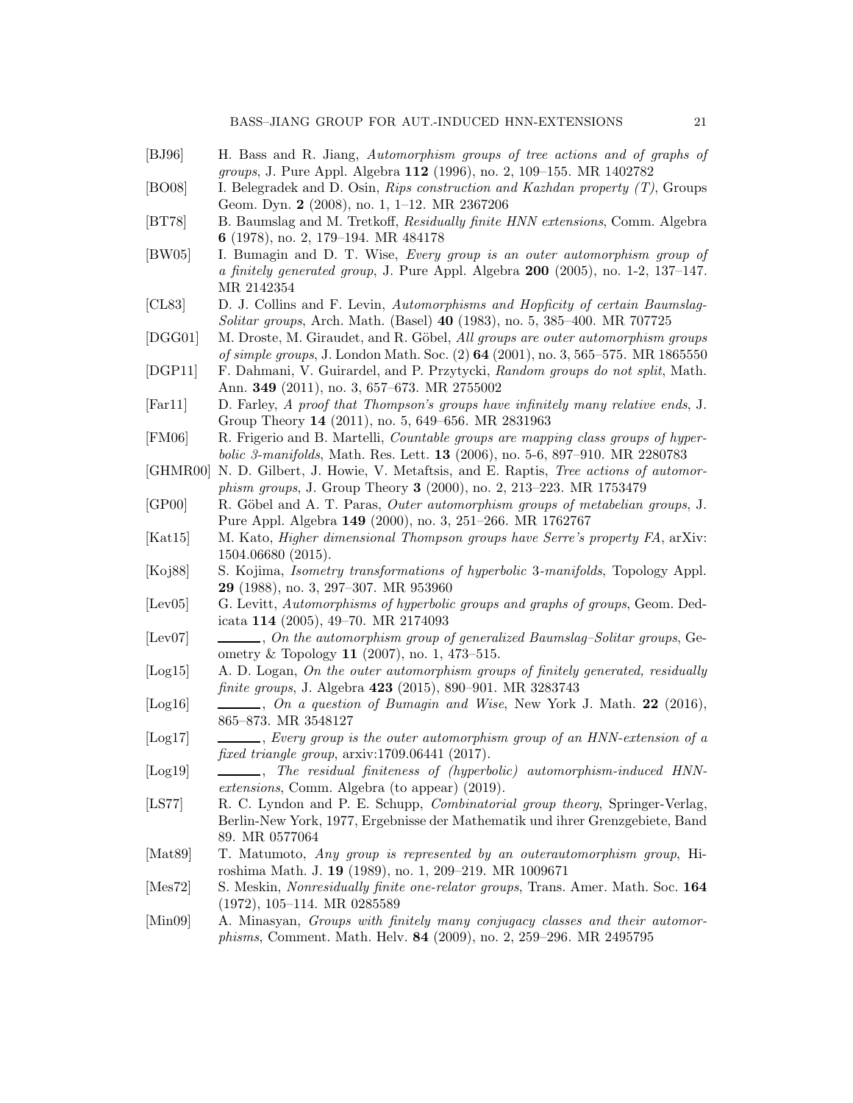- <span id="page-21-22"></span><span id="page-21-19"></span><span id="page-21-13"></span>[BJ96] H. Bass and R. Jiang, Automorphism groups of tree actions and of graphs of groups, J. Pure Appl. Algebra 112 (1996), no. 2, 109–155. MR 1402782 [BO08] I. Belegradek and D. Osin, Rips construction and Kazhdan property (T), Groups Geom. Dyn. 2 (2008), no. 1, 1–12. MR 2367206 [BT78] B. Baumslag and M. Tretkoff, *Residually finite HNN extensions*, Comm. Algebra 6 (1978), no. 2, 179–194. MR 484178 [BW05] I. Bumagin and D. T. Wise, Every group is an outer automorphism group of a finitely generated group, J. Pure Appl. Algebra  $200$   $(2005)$ , no. 1-2, 137–147. MR 2142354
- <span id="page-21-15"></span><span id="page-21-4"></span>[CL83] D. J. Collins and F. Levin, Automorphisms and Hopficity of certain Baumslag-Solitar groups, Arch. Math. (Basel) 40 (1983), no. 5, 385–400. MR 707725
- <span id="page-21-3"></span>[DGG01] M. Droste, M. Giraudet, and R. Göbel, All groups are outer automorphism groups of simple groups, J. London Math. Soc. (2) 64 (2001), no. 3, 565–575. MR 1865550
- <span id="page-21-10"></span>[DGP11] F. Dahmani, V. Guirardel, and P. Przytycki, Random groups do not split, Math. Ann. 349 (2011), no. 3, 657–673. MR 2755002
- <span id="page-21-11"></span>[Far11] D. Farley, A proof that Thompson's groups have infinitely many relative ends, J. Group Theory 14 (2011), no. 5, 649–656. MR 2831963
- <span id="page-21-5"></span>[FM06] R. Frigerio and B. Martelli, Countable groups are mapping class groups of hyperbolic 3-manifolds, Math. Res. Lett. 13 (2006), no. 5-6, 897–910. MR 2280783
- <span id="page-21-17"></span>[GHMR00] N. D. Gilbert, J. Howie, V. Metaftsis, and E. Raptis, Tree actions of automorphism groups, J. Group Theory 3 (2000), no. 2, 213–223. MR 1753479
- <span id="page-21-2"></span>[GP00] R. Göbel and A. T. Paras, *Outer automorphism groups of metabelian groups*, J. Pure Appl. Algebra 149 (2000), no. 3, 251–266. MR 1762767
- <span id="page-21-12"></span>[Kat15] M. Kato, Higher dimensional Thompson groups have Serre's property FA, arXiv: 1504.06680 (2015).
- <span id="page-21-1"></span>[Koj88] S. Kojima, Isometry transformations of hyperbolic 3-manifolds, Topology Appl. 29 (1988), no. 3, 297–307. MR 953960
- <span id="page-21-20"></span>[Lev05] G. Levitt, Automorphisms of hyperbolic groups and graphs of groups, Geom. Dedicata 114 (2005), 49–70. MR 2174093
- <span id="page-21-21"></span>[Lev07] , On the automorphism group of generalized Baumslag–Solitar groups, Geometry & Topology 11 (2007), no. 1, 473–515.
- <span id="page-21-7"></span>[Log15] A. D. Logan, On the outer automorphism groups of finitely generated, residually finite groups, J. Algebra 423 (2015), 890–901. MR 3283743
- <span id="page-21-8"></span>[Log16] , On a question of Bumagin and Wise, New York J. Math. 22 (2016), 865–873. MR 3548127
- <span id="page-21-9"></span>[Log17] , Every group is the outer automorphism group of an HNN-extension of a fixed triangle group, arxiv:1709.06441 (2017).
- <span id="page-21-14"></span>[Log19]  $\qquad \qquad$ , The residual finiteness of (hyperbolic) automorphism-induced HNNextensions, Comm. Algebra (to appear) (2019).
- <span id="page-21-18"></span>[LS77] R. C. Lyndon and P. E. Schupp, Combinatorial group theory, Springer-Verlag, Berlin-New York, 1977, Ergebnisse der Mathematik und ihrer Grenzgebiete, Band 89. MR 0577064
- <span id="page-21-0"></span>[Mat89] T. Matumoto, Any group is represented by an outerautomorphism group, Hiroshima Math. J. 19 (1989), no. 1, 209–219. MR 1009671
- <span id="page-21-16"></span>[Mes72] S. Meskin, Nonresidually finite one-relator groups, Trans. Amer. Math. Soc. 164 (1972), 105–114. MR 0285589
- <span id="page-21-6"></span>[Min09] A. Minasyan, Groups with finitely many conjugacy classes and their automorphisms, Comment. Math. Helv. 84 (2009), no. 2, 259–296. MR 2495795